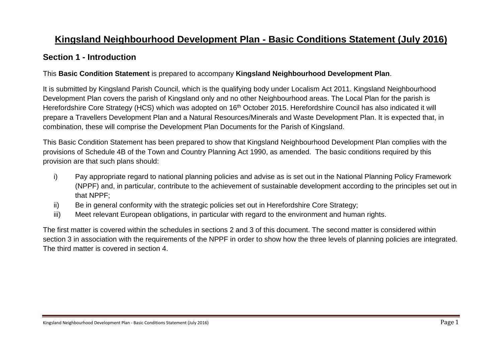## **Kingsland Neighbourhood Development Plan - Basic Conditions Statement (July 2016)**

#### **Section 1 - Introduction**

#### This **Basic Condition Statement** is prepared to accompany **Kingsland Neighbourhood Development Plan**.

 Development Plan covers the parish of Kingsland only and no other Neighbourhood areas. The Local Plan for the parish is combination, these will comprise the Development Plan Documents for the Parish of Kingsland. It is submitted by Kingsland Parish Council, which is the qualifying body under Localism Act 2011. Kingsland Neighbourhood Herefordshire Core Strategy (HCS) which was adopted on 16<sup>th</sup> October 2015. Herefordshire Council has also indicated it will prepare a Travellers Development Plan and a Natural Resources/Minerals and Waste Development Plan. It is expected that, in

 provisions of Schedule 4B of the Town and Country Planning Act 1990, as amended. The basic conditions required by this This Basic Condition Statement has been prepared to show that Kingsland Neighbourhood Development Plan complies with the provision are that such plans should:

- i) Pay appropriate regard to national planning policies and advise as is set out in the National Planning Policy Framework (NPPF) and, in particular, contribute to the achievement of sustainable development according to the principles set out in that NPPF;
- ii) Be in general conformity with the strategic policies set out in Herefordshire Core Strategy;
- iii) Meet relevant European obligations, in particular with regard to the environment and human rights.

 section 3 in association with the requirements of the NPPF in order to show how the three levels of planning policies are integrated. The third matter is covered in section 4. The first matter is covered within the schedules in sections 2 and 3 of this document. The second matter is considered within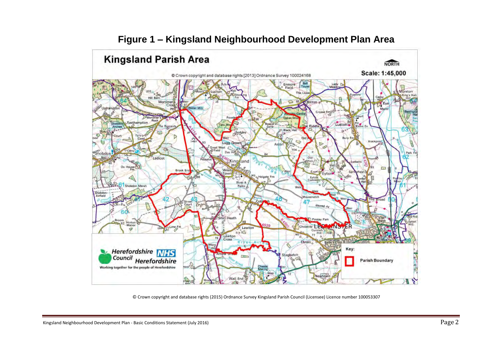

## **Figure 1 – Kingsland Neighbourhood Development Plan Area**

© Crown copyright and database rights (2015) Ordnance Survey Kingsland Parish Council (Licensee) Licence number 100053307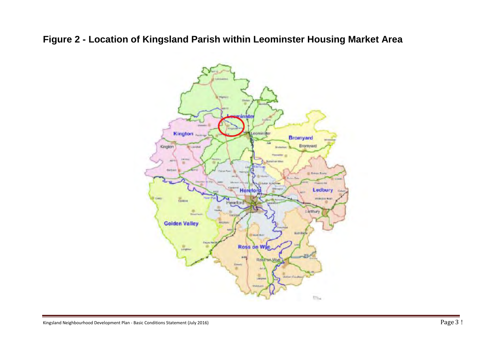# **Figure 2 - Location of Kingsland Parish within Leominster Housing Market Area**

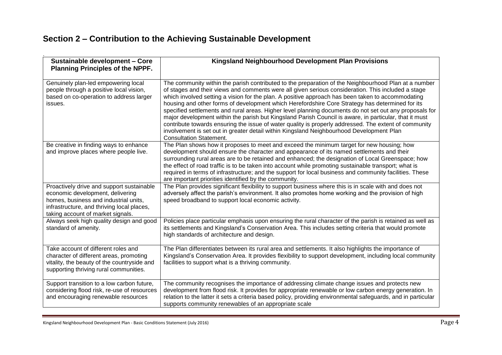## **Section 2 – Contribution to the Achieving Sustainable Development**

| Sustainable development - Core<br><b>Planning Principles of the NPPF.</b>                                                                                                                                 | Kingsland Neighbourhood Development Plan Provisions                                                                                                                                                                                                                                                                                                                                                                                                                                                                                                                                                                                                                                                                                                                                                                                                                            |
|-----------------------------------------------------------------------------------------------------------------------------------------------------------------------------------------------------------|--------------------------------------------------------------------------------------------------------------------------------------------------------------------------------------------------------------------------------------------------------------------------------------------------------------------------------------------------------------------------------------------------------------------------------------------------------------------------------------------------------------------------------------------------------------------------------------------------------------------------------------------------------------------------------------------------------------------------------------------------------------------------------------------------------------------------------------------------------------------------------|
| Genuinely plan-led empowering local<br>people through a positive local vision,<br>based on co-operation to address larger<br>issues.                                                                      | The community within the parish contributed to the preparation of the Neighbourhood Plan at a number<br>of stages and their views and comments were all given serious consideration. This included a stage<br>which involved setting a vision for the plan. A positive approach has been taken to accommodating<br>housing and other forms of development which Herefordshire Core Strategy has determined for its<br>specified settlements and rural areas. Higher level planning documents do not set out any proposals for<br>major development within the parish but Kingsland Parish Council is aware, in particular, that it must<br>contribute towards ensuring the issue of water quality is properly addressed. The extent of community<br>involvement is set out in greater detail within Kingsland Neighbourhood Development Plan<br><b>Consultation Statement.</b> |
| Be creative in finding ways to enhance<br>and improve places where people live.                                                                                                                           | The Plan shows how it proposes to meet and exceed the minimum target for new housing; how<br>development should ensure the character and appearance of its named settlements and their<br>surrounding rural areas are to be retained and enhanced; the designation of Local Greenspace; how<br>the effect of road traffic is to be taken into account while promoting sustainable transport; what is<br>required in terms of infrastructure; and the support for local business and community facilities. These<br>are important priorities identified by the community.                                                                                                                                                                                                                                                                                                       |
| Proactively drive and support sustainable<br>economic development, delivering<br>homes, business and industrial units,<br>infrastructure, and thriving local places,<br>taking account of market signals. | The Plan provides significant flexibility to support business where this is in scale with and does not<br>adversely affect the parish's environment. It also promotes home working and the provision of high<br>speed broadband to support local economic activity.                                                                                                                                                                                                                                                                                                                                                                                                                                                                                                                                                                                                            |
| Always seek high quality design and good<br>standard of amenity.                                                                                                                                          | Policies place particular emphasis upon ensuring the rural character of the parish is retained as well as<br>its settlements and Kingsland's Conservation Area. This includes setting criteria that would promote<br>high standards of architecture and design.                                                                                                                                                                                                                                                                                                                                                                                                                                                                                                                                                                                                                |
| Take account of different roles and<br>character of different areas, promoting<br>vitality, the beauty of the countryside and<br>supporting thriving rural communities.                                   | The Plan differentiates between its rural area and settlements. It also highlights the importance of<br>Kingsland's Conservation Area. It provides flexibility to support development, including local community<br>facilities to support what is a thriving community.                                                                                                                                                                                                                                                                                                                                                                                                                                                                                                                                                                                                        |
| Support transition to a low carbon future,<br>considering flood risk, re-use of resources<br>and encouraging renewable resources                                                                          | The community recognises the importance of addressing climate change issues and protects new<br>development from flood risk. It provides for appropriate renewable or low carbon energy generation. In<br>relation to the latter it sets a criteria based policy, providing environmental safeguards, and in particular<br>supports community renewables of an appropriate scale                                                                                                                                                                                                                                                                                                                                                                                                                                                                                               |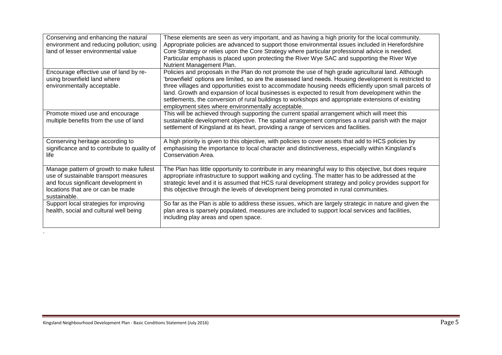| Conserving and enhancing the natural<br>environment and reducing pollution; using<br>land of lesser environmental value                                                        | These elements are seen as very important, and as having a high priority for the local community.<br>Appropriate policies are advanced to support those environmental issues included in Herefordshire<br>Core Strategy or relies upon the Core Strategy where particular professional advice is needed.<br>Particular emphasis is placed upon protecting the River Wye SAC and supporting the River Wye<br>Nutrient Management Plan.                                                                                                                                                  |
|--------------------------------------------------------------------------------------------------------------------------------------------------------------------------------|----------------------------------------------------------------------------------------------------------------------------------------------------------------------------------------------------------------------------------------------------------------------------------------------------------------------------------------------------------------------------------------------------------------------------------------------------------------------------------------------------------------------------------------------------------------------------------------|
| Encourage effective use of land by re-<br>using brownfield land where<br>environmentally acceptable.                                                                           | Policies and proposals in the Plan do not promote the use of high grade agricultural land. Although<br>'brownfield' options are limited, so are the assessed land needs. Housing development is restricted to<br>three villages and opportunities exist to accommodate housing needs efficiently upon small parcels of<br>land. Growth and expansion of local businesses is expected to result from development within the<br>settlements, the conversion of rural buildings to workshops and appropriate extensions of existing<br>employment sites where environmentally acceptable. |
| Promote mixed use and encourage<br>multiple benefits from the use of land                                                                                                      | This will be achieved through supporting the current spatial arrangement which will meet this<br>sustainable development objective. The spatial arrangement comprises a rural parish with the major<br>settlement of Kingsland at its heart, providing a range of services and facilities.                                                                                                                                                                                                                                                                                             |
| Conserving heritage according to<br>significance and to contribute to quality of<br>life                                                                                       | A high priority is given to this objective, with policies to cover assets that add to HCS policies by<br>emphasising the importance to local character and distinctiveness, especially within Kingsland's<br>Conservation Area.                                                                                                                                                                                                                                                                                                                                                        |
| Manage pattern of growth to make fullest<br>use of sustainable transport measures<br>and focus significant development in<br>locations that are or can be made<br>sustainable. | The Plan has little opportunity to contribute in any meaningful way to this objective, but does require<br>appropriate infrastructure to support walking and cycling. The matter has to be addressed at the<br>strategic level and it is assumed that HCS rural development strategy and policy provides support for<br>this objective through the levels of development being promoted in rural communities.                                                                                                                                                                          |
| Support local strategies for improving<br>health, social and cultural well being                                                                                               | So far as the Plan is able to address these issues, which are largely strategic in nature and given the<br>plan area is sparsely populated, measures are included to support local services and facilities,<br>including play areas and open space.                                                                                                                                                                                                                                                                                                                                    |

.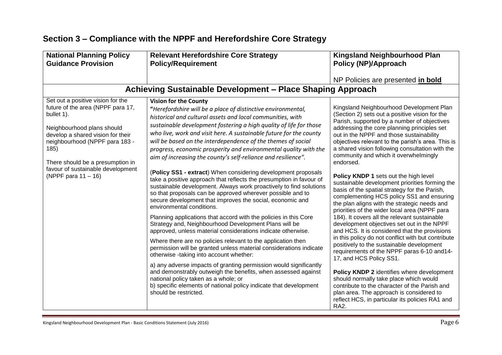| <b>National Planning Policy</b><br><b>Guidance Provision</b>                                                                                                                                                                                                                                         | <b>Relevant Herefordshire Core Strategy</b><br><b>Policy/Requirement</b>                                                                                                                                                                                                                                                                                                                                                                                                                                                                                                                                                                                                                                                                                                                                                                                                                                                                                                                                                                                                                                                                                                                                                                                                                                                                                                                                                                                                                                                                    | <b>Kingsland Neighbourhood Plan</b><br><b>Policy (NP)/Approach</b>                                                                                                                                                                                                                                                                                                                                                                                                                                                                                                                                                                                                                                                                                                                                                                                                                                                                                                                                                                                                                                                                                                                                                                                                      |
|------------------------------------------------------------------------------------------------------------------------------------------------------------------------------------------------------------------------------------------------------------------------------------------------------|---------------------------------------------------------------------------------------------------------------------------------------------------------------------------------------------------------------------------------------------------------------------------------------------------------------------------------------------------------------------------------------------------------------------------------------------------------------------------------------------------------------------------------------------------------------------------------------------------------------------------------------------------------------------------------------------------------------------------------------------------------------------------------------------------------------------------------------------------------------------------------------------------------------------------------------------------------------------------------------------------------------------------------------------------------------------------------------------------------------------------------------------------------------------------------------------------------------------------------------------------------------------------------------------------------------------------------------------------------------------------------------------------------------------------------------------------------------------------------------------------------------------------------------------|-------------------------------------------------------------------------------------------------------------------------------------------------------------------------------------------------------------------------------------------------------------------------------------------------------------------------------------------------------------------------------------------------------------------------------------------------------------------------------------------------------------------------------------------------------------------------------------------------------------------------------------------------------------------------------------------------------------------------------------------------------------------------------------------------------------------------------------------------------------------------------------------------------------------------------------------------------------------------------------------------------------------------------------------------------------------------------------------------------------------------------------------------------------------------------------------------------------------------------------------------------------------------|
|                                                                                                                                                                                                                                                                                                      |                                                                                                                                                                                                                                                                                                                                                                                                                                                                                                                                                                                                                                                                                                                                                                                                                                                                                                                                                                                                                                                                                                                                                                                                                                                                                                                                                                                                                                                                                                                                             |                                                                                                                                                                                                                                                                                                                                                                                                                                                                                                                                                                                                                                                                                                                                                                                                                                                                                                                                                                                                                                                                                                                                                                                                                                                                         |
|                                                                                                                                                                                                                                                                                                      |                                                                                                                                                                                                                                                                                                                                                                                                                                                                                                                                                                                                                                                                                                                                                                                                                                                                                                                                                                                                                                                                                                                                                                                                                                                                                                                                                                                                                                                                                                                                             | NP Policies are presented in bold                                                                                                                                                                                                                                                                                                                                                                                                                                                                                                                                                                                                                                                                                                                                                                                                                                                                                                                                                                                                                                                                                                                                                                                                                                       |
|                                                                                                                                                                                                                                                                                                      | Achieving Sustainable Development - Place Shaping Approach                                                                                                                                                                                                                                                                                                                                                                                                                                                                                                                                                                                                                                                                                                                                                                                                                                                                                                                                                                                                                                                                                                                                                                                                                                                                                                                                                                                                                                                                                  |                                                                                                                                                                                                                                                                                                                                                                                                                                                                                                                                                                                                                                                                                                                                                                                                                                                                                                                                                                                                                                                                                                                                                                                                                                                                         |
| Set out a positive vision for the<br>future of the area (NPPF para 17,<br>bullet 1).<br>Neighbourhood plans should<br>develop a shared vision for their<br>neighbourhood (NPPF para 183 -<br>185)<br>There should be a presumption in<br>favour of sustainable development<br>(NPPF para $11 - 16$ ) | <b>Vision for the County</b><br>"Herefordshire will be a place of distinctive environmental,<br>historical and cultural assets and local communities, with<br>sustainable development fostering a high quality of life for those<br>who live, work and visit here. A sustainable future for the county<br>will be based on the interdependence of the themes of social<br>progress, economic prosperity and environmental quality with the<br>aim of increasing the county's self-reliance and resilience".<br>(Policy SS1 - extract) When considering development proposals<br>take a positive approach that reflects the presumption in favour of<br>sustainable development. Always work proactively to find solutions<br>so that proposals can be approved wherever possible and to<br>secure development that improves the social, economic and<br>environmental conditions.<br>Planning applications that accord with the policies in this Core<br>Strategy and, Neighbourhood Development Plans will be<br>approved, unless material considerations indicate otherwise.<br>Where there are no policies relevant to the application then<br>permission will be granted unless material considerations indicate<br>otherwise -taking into account whether:<br>a) any adverse impacts of granting permission would significantly<br>and demonstrably outweigh the benefits, when assessed against<br>national policy taken as a whole; or<br>b) specific elements of national policy indicate that development<br>should be restricted. | Kingsland Neighbourhood Development Plan<br>(Section 2) sets out a positive vision for the<br>Parish, supported by a number of objectives<br>addressing the core planning principles set<br>out in the NPPF and those sustainability<br>objectives relevant to the parish's area. This is<br>a shared vision following consultation with the<br>community and which it overwhelmingly<br>endorsed.<br>Policy KNDP 1 sets out the high level<br>sustainable development priorities forming the<br>basis of the spatial strategy for the Parish,<br>complementing HCS policy SS1 and ensuring<br>the plan aligns with the strategic needs and<br>priorities of the wider local area (NPPF para<br>184). It covers all the relevant sustainable<br>development objectives set out in the NPPF<br>and HCS. It is considered that the provisions<br>in this policy do not conflict with but contribute<br>positively to the sustainable development<br>requirements of the NPPF paras 6-10 and14-<br>17, and HCS Policy SS1.<br>Policy KNDP 2 identifies where development<br>should normally take place which would<br>contribute to the character of the Parish and<br>plan area. The approach is considered to<br>reflect HCS, in particular its policies RA1 and<br>RA2. |

## **Section 3 – Compliance with the NPPF and Herefordshire Core Strategy**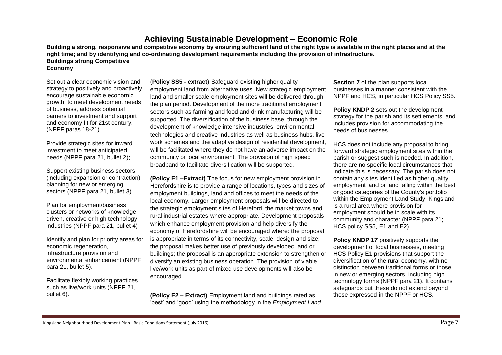| <b>Achieving Sustainable Development - Economic Role</b><br>Building a strong, responsive and competitive economy by ensuring sufficient land of the right type is available in the right places and at the                                                                             |                                                                                                                                                                                                                                                                                                                                                                                                                                                                                                                                                     |                                                                                                                                                                                                                                                                                                                                                                               |
|-----------------------------------------------------------------------------------------------------------------------------------------------------------------------------------------------------------------------------------------------------------------------------------------|-----------------------------------------------------------------------------------------------------------------------------------------------------------------------------------------------------------------------------------------------------------------------------------------------------------------------------------------------------------------------------------------------------------------------------------------------------------------------------------------------------------------------------------------------------|-------------------------------------------------------------------------------------------------------------------------------------------------------------------------------------------------------------------------------------------------------------------------------------------------------------------------------------------------------------------------------|
|                                                                                                                                                                                                                                                                                         | right time; and by identifying and co-ordinating development requirements including the provision of infrastructure.                                                                                                                                                                                                                                                                                                                                                                                                                                |                                                                                                                                                                                                                                                                                                                                                                               |
| <b>Buildings strong Competitive</b><br>Economy                                                                                                                                                                                                                                          |                                                                                                                                                                                                                                                                                                                                                                                                                                                                                                                                                     |                                                                                                                                                                                                                                                                                                                                                                               |
| Set out a clear economic vision and<br>strategy to positively and proactively<br>encourage sustainable economic<br>growth, to meet development needs<br>of business, address potential<br>barriers to investment and support<br>and economy fit for 21st century.<br>(NPPF paras 18-21) | (Policy SS5 - extract) Safeguard existing higher quality<br>employment land from alternative uses. New strategic employment<br>land and smaller scale employment sites will be delivered through<br>the plan period. Development of the more traditional employment<br>sectors such as farming and food and drink manufacturing will be<br>supported. The diversification of the business base, through the<br>development of knowledge intensive industries, environmental<br>technologies and creative industries as well as business hubs, live- | Section 7 of the plan supports local<br>businesses in a manner consistent with the<br>NPPF and HCS, in particular HCS Policy SS5.<br><b>Policy KNDP 2 sets out the development</b><br>strategy for the parish and its settlements, and<br>includes provision for accommodating the<br>needs of businesses.                                                                    |
| Provide strategic sites for inward<br>investment to meet anticipated<br>needs (NPPF para 21, bullet 2);                                                                                                                                                                                 | work schemes and the adaptive design of residential development,<br>will be facilitated where they do not have an adverse impact on the<br>community or local environment. The provision of high speed<br>broadband to facilitate diversification will be supported.                                                                                                                                                                                                                                                                                | HCS does not include any proposal to bring<br>forward strategic employment sites within the<br>parish or suggest such is needed. In addition,<br>there are no specific local circumstances that                                                                                                                                                                               |
| Support existing business sectors<br>(including expansion or contraction)<br>planning for new or emerging<br>sectors (NPPF para 21, bullet 3).                                                                                                                                          | (Policy E1 - Extract) The focus for new employment provision in<br>Herefordshire is to provide a range of locations, types and sizes of<br>employment buildings, land and offices to meet the needs of the                                                                                                                                                                                                                                                                                                                                          | indicate this is necessary. The parish does not<br>contain any sites identified as higher quality<br>employment land or land falling within the best<br>or good categories of the County's portfolio                                                                                                                                                                          |
| Plan for employment/business<br>clusters or networks of knowledge<br>driven, creative or high technology<br>industries (NPPF para 21, bullet 4)                                                                                                                                         | local economy. Larger employment proposals will be directed to<br>the strategic employment sites of Hereford, the market towns and<br>rural industrial estates where appropriate. Development proposals<br>which enhance employment provision and help diversify the<br>economy of Herefordshire will be encouraged where: the proposal                                                                                                                                                                                                             | within the Employment Land Study. Kingsland<br>is a rural area where provision for<br>employment should be in scale with its<br>community and character (NPPF para 21;<br>HCS policy SS5, E1 and E2).                                                                                                                                                                         |
| Identify and plan for priority areas for<br>economic regeneration,<br>infrastructure provision and<br>environmental enhancement (NPPF<br>para 21, bullet 5).<br>Facilitate flexibly working practices<br>such as live/work units (NPPF 21,                                              | is appropriate in terms of its connectivity, scale, design and size;<br>the proposal makes better use of previously developed land or<br>buildings; the proposal is an appropriate extension to strengthen or<br>diversify an existing business operation. The provision of viable<br>live/work units as part of mixed use developments will also be<br>encouraged.                                                                                                                                                                                 | Policy KNDP 17 positively supports the<br>development of local businesses, meeting<br>HCS Policy E1 provisions that support the<br>diversification of the rural economy, with no<br>distinction between traditional forms or those<br>in new or emerging sectors, including high<br>technology forms (NPPF para 21). It contains<br>safeguards but these do not extend beyond |
| bullet 6).                                                                                                                                                                                                                                                                              | (Policy E2 - Extract) Employment land and buildings rated as<br>'best' and 'good' using the methodology in the <i>Employment Land</i>                                                                                                                                                                                                                                                                                                                                                                                                               | those expressed in the NPPF or HCS.                                                                                                                                                                                                                                                                                                                                           |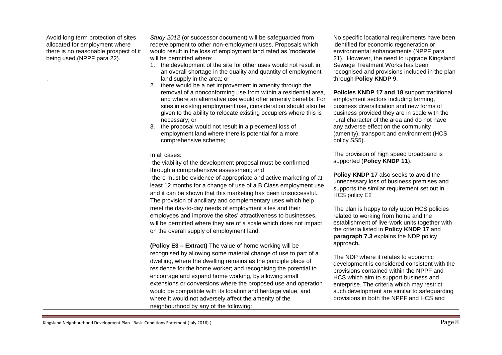| Avoid long term protection of sites   | Study 2012 (or successor document) will be safeguarded from                                                                      | No specific locational requirements have been                                      |
|---------------------------------------|----------------------------------------------------------------------------------------------------------------------------------|------------------------------------------------------------------------------------|
| allocated for employment where        | redevelopment to other non-employment uses. Proposals which                                                                      | identified for economic regeneration or                                            |
| there is no reasonable prospect of it | would result in the loss of employment land rated as 'moderate'                                                                  | environmental enhancements (NPPF para                                              |
| being used.(NPPF para 22).            | will be permitted where:                                                                                                         | 21). However, the need to upgrade Kingsland                                        |
|                                       | 1. the development of the site for other uses would not result in                                                                | Sewage Treatment Works has been                                                    |
|                                       | an overall shortage in the quality and quantity of employment                                                                    | recognised and provisions included in the plan                                     |
|                                       | land supply in the area; or                                                                                                      | through Policy KNDP 9.                                                             |
|                                       | 2. there would be a net improvement in amenity through the                                                                       |                                                                                    |
|                                       | removal of a nonconforming use from within a residential area,                                                                   | Policies KNDP 17 and 18 support traditional                                        |
|                                       | and where an alternative use would offer amenity benefits. For<br>sites in existing employment use, consideration should also be | employment sectors including farming,<br>business diversification and new forms of |
|                                       |                                                                                                                                  | business provided they are in scale with the                                       |
|                                       | given to the ability to relocate existing occupiers where this is<br>necessary; or                                               | rural character of the area and do not have                                        |
|                                       | the proposal would not result in a piecemeal loss of<br>3.                                                                       | any adverse effect on the community                                                |
|                                       | employment land where there is potential for a more                                                                              | (amenity), transport and environment (HCS                                          |
|                                       | comprehensive scheme;                                                                                                            | policy SS5).                                                                       |
|                                       |                                                                                                                                  |                                                                                    |
|                                       | In all cases:                                                                                                                    | The provision of high speed broadband is                                           |
|                                       | -the viability of the development proposal must be confirmed                                                                     | supported (Policy KNDP 11).                                                        |
|                                       | through a comprehensive assessment; and                                                                                          |                                                                                    |
|                                       | -there must be evidence of appropriate and active marketing of at                                                                | Policy KNDP 17 also seeks to avoid the                                             |
|                                       | least 12 months for a change of use of a B Class employment use                                                                  | unnecessary loss of business premises and                                          |
|                                       |                                                                                                                                  | supports the similar requirement set out in                                        |
|                                       | and it can be shown that this marketing has been unsuccessful.                                                                   | <b>HCS policy E2</b>                                                               |
|                                       | The provision of ancillary and complementary uses which help                                                                     |                                                                                    |
|                                       | meet the day-to-day needs of employment sites and their                                                                          | The plan is happy to rely upon HCS policies                                        |
|                                       | employees and improve the sites' attractiveness to businesses,                                                                   | related to working from home and the                                               |
|                                       | will be permitted where they are of a scale which does not impact                                                                | establishment of live-work units together with                                     |
|                                       | on the overall supply of employment land.                                                                                        | the criteria listed in Policy KNDP 17 and                                          |
|                                       |                                                                                                                                  | paragraph 7.3 explains the NDP policy<br>approach.                                 |
|                                       | (Policy E3 - Extract) The value of home working will be                                                                          |                                                                                    |
|                                       | recognised by allowing some material change of use to part of a                                                                  | The NDP where it relates to economic                                               |
|                                       | dwelling, where the dwelling remains as the principle place of                                                                   | development is considered consistent with the                                      |
|                                       | residence for the home worker; and recognising the potential to                                                                  | provisions contained within the NPPF and                                           |
|                                       | encourage and expand home working, by allowing small                                                                             | HCS which aim to support business and                                              |
|                                       | extensions or conversions where the proposed use and operation                                                                   | enterprise. The criteria which may restrict                                        |
|                                       | would be compatible with its location and heritage value, and                                                                    | such development are similar to safeguarding                                       |
|                                       | where it would not adversely affect the amenity of the                                                                           | provisions in both the NPPF and HCS and                                            |
|                                       | neighbourhood by any of the following:                                                                                           |                                                                                    |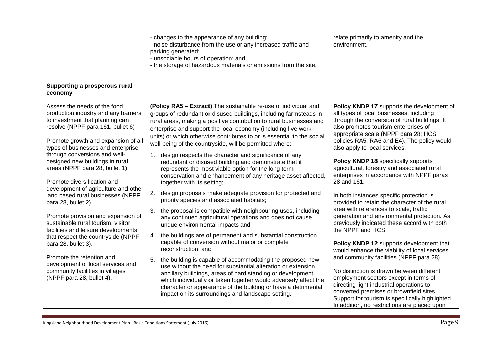|                                                                                                                                                                                                                                                                                                                                                                                                                                                                                                                                                                                                                                                                                                                                                                                        | - changes to the appearance of any building;<br>- noise disturbance from the use or any increased traffic and<br>parking generated;<br>- unsociable hours of operation; and<br>- the storage of hazardous materials or emissions from the site.                                                                                                                                                                                                                                                                                                                                                                                                                                                                                                                                                                                                                                                                                                                                                                                                                                                                                                                                                                                                                                                                                                                                                                                                                      | relate primarily to amenity and the<br>environment.                                                                                                                                                                                                                                                                                                                                                                                                                                                                                                                                                                                                                                                                                                                                                                                                                                                                                                                                            |
|----------------------------------------------------------------------------------------------------------------------------------------------------------------------------------------------------------------------------------------------------------------------------------------------------------------------------------------------------------------------------------------------------------------------------------------------------------------------------------------------------------------------------------------------------------------------------------------------------------------------------------------------------------------------------------------------------------------------------------------------------------------------------------------|----------------------------------------------------------------------------------------------------------------------------------------------------------------------------------------------------------------------------------------------------------------------------------------------------------------------------------------------------------------------------------------------------------------------------------------------------------------------------------------------------------------------------------------------------------------------------------------------------------------------------------------------------------------------------------------------------------------------------------------------------------------------------------------------------------------------------------------------------------------------------------------------------------------------------------------------------------------------------------------------------------------------------------------------------------------------------------------------------------------------------------------------------------------------------------------------------------------------------------------------------------------------------------------------------------------------------------------------------------------------------------------------------------------------------------------------------------------------|------------------------------------------------------------------------------------------------------------------------------------------------------------------------------------------------------------------------------------------------------------------------------------------------------------------------------------------------------------------------------------------------------------------------------------------------------------------------------------------------------------------------------------------------------------------------------------------------------------------------------------------------------------------------------------------------------------------------------------------------------------------------------------------------------------------------------------------------------------------------------------------------------------------------------------------------------------------------------------------------|
| Supporting a prosperous rural<br>economy                                                                                                                                                                                                                                                                                                                                                                                                                                                                                                                                                                                                                                                                                                                                               |                                                                                                                                                                                                                                                                                                                                                                                                                                                                                                                                                                                                                                                                                                                                                                                                                                                                                                                                                                                                                                                                                                                                                                                                                                                                                                                                                                                                                                                                      |                                                                                                                                                                                                                                                                                                                                                                                                                                                                                                                                                                                                                                                                                                                                                                                                                                                                                                                                                                                                |
| Assess the needs of the food<br>production industry and any barriers<br>to investment that planning can<br>resolve (NPPF para 161, bullet 6)<br>Promote growth and expansion of all<br>types of businesses and enterprise<br>through conversions and well-<br>designed new buildings in rural<br>areas (NPPF para 28, bullet 1).<br>Promote diversification and<br>development of agriculture and other<br>land based rural businesses (NPPF<br>para 28, bullet 2).<br>Promote provision and expansion of<br>sustainable rural tourism, visitor<br>facilities and leisure developments<br>that respect the countryside (NPPF<br>para 28, bullet 3).<br>Promote the retention and<br>development of local services and<br>community facilities in villages<br>(NPPF para 28, bullet 4). | (Policy RA5 - Extract) The sustainable re-use of individual and<br>groups of redundant or disused buildings, including farmsteads in<br>rural areas, making a positive contribution to rural businesses and<br>enterprise and support the local economy (including live work<br>units) or which otherwise contributes to or is essential to the social<br>well-being of the countryside, will be permitted where:<br>1. design respects the character and significance of any<br>redundant or disused building and demonstrate that it<br>represents the most viable option for the long term<br>conservation and enhancement of any heritage asset affected,<br>together with its setting;<br>design proposals make adequate provision for protected and<br>2.<br>priority species and associated habitats;<br>3. the proposal is compatible with neighbouring uses, including<br>any continued agricultural operations and does not cause<br>undue environmental impacts and;<br>the buildings are of permanent and substantial construction<br>4.<br>capable of conversion without major or complete<br>reconstruction; and<br>the building is capable of accommodating the proposed new<br>5.<br>use without the need for substantial alteration or extension,<br>ancillary buildings, areas of hard standing or development<br>which individually or taken together would adversely affect the<br>character or appearance of the building or have a detrimental | Policy KNDP 17 supports the development of<br>all types of local businesses, including<br>through the conversion of rural buildings. It<br>also promotes tourism enterprises of<br>appropriate scale (NPPF para 28; HCS<br>policies RA5, RA6 and E4). The policy would<br>also apply to local services.<br>Policy KNDP 18 specifically supports<br>agricultural, forestry and associated rural<br>enterprises in accordance with NPPF paras<br>28 and 161.<br>In both instances specific protection is<br>provided to retain the character of the rural<br>area with references to scale, traffic<br>generation and environmental protection. As<br>previously indicated these accord with both<br>the NPPF and HCS<br>Policy KNDP 12 supports development that<br>would enhance the viability of local services<br>and community facilities (NPPF para 28).<br>No distinction is drawn between different<br>employment sectors except in terms of<br>directing light industrial operations to |
|                                                                                                                                                                                                                                                                                                                                                                                                                                                                                                                                                                                                                                                                                                                                                                                        | impact on its surroundings and landscape setting.                                                                                                                                                                                                                                                                                                                                                                                                                                                                                                                                                                                                                                                                                                                                                                                                                                                                                                                                                                                                                                                                                                                                                                                                                                                                                                                                                                                                                    | converted premises or brownfield sites.<br>Support for tourism is specifically highlighted.<br>In addition, no restrictions are placed upon                                                                                                                                                                                                                                                                                                                                                                                                                                                                                                                                                                                                                                                                                                                                                                                                                                                    |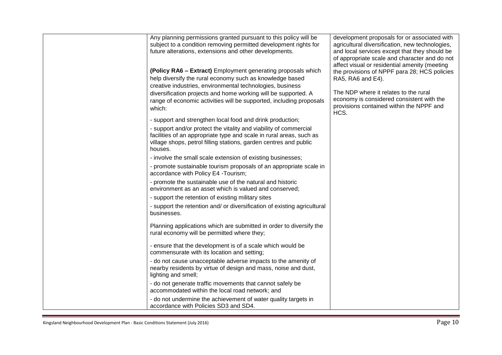| Any planning permissions granted pursuant to this policy will be<br>subject to a condition removing permitted development rights for<br>future alterations, extensions and other developments.                           | development proposals for or associated with<br>agricultural diversification, new technologies,<br>and local services except that they should be<br>of appropriate scale and character and do not<br>affect visual or residential amenity (meeting |
|--------------------------------------------------------------------------------------------------------------------------------------------------------------------------------------------------------------------------|----------------------------------------------------------------------------------------------------------------------------------------------------------------------------------------------------------------------------------------------------|
| (Policy RA6 - Extract) Employment generating proposals which<br>help diversify the rural economy such as knowledge based<br>creative industries, environmental technologies, business                                    | the provisions of NPPF para 28; HCS policies<br>RA5, RA6 and E4).                                                                                                                                                                                  |
| diversification projects and home working will be supported. A<br>range of economic activities will be supported, including proposals<br>which:                                                                          | The NDP where it relates to the rural<br>economy is considered consistent with the<br>provisions contained within the NPPF and<br>HCS.                                                                                                             |
| - support and strengthen local food and drink production;                                                                                                                                                                |                                                                                                                                                                                                                                                    |
| - support and/or protect the vitality and viability of commercial<br>facilities of an appropriate type and scale in rural areas, such as<br>village shops, petrol filling stations, garden centres and public<br>houses. |                                                                                                                                                                                                                                                    |
| - involve the small scale extension of existing businesses;                                                                                                                                                              |                                                                                                                                                                                                                                                    |
| - promote sustainable tourism proposals of an appropriate scale in<br>accordance with Policy E4 -Tourism;                                                                                                                |                                                                                                                                                                                                                                                    |
| - promote the sustainable use of the natural and historic<br>environment as an asset which is valued and conserved;                                                                                                      |                                                                                                                                                                                                                                                    |
| - support the retention of existing military sites                                                                                                                                                                       |                                                                                                                                                                                                                                                    |
| - support the retention and/ or diversification of existing agricultural<br>businesses.                                                                                                                                  |                                                                                                                                                                                                                                                    |
| Planning applications which are submitted in order to diversify the<br>rural economy will be permitted where they;                                                                                                       |                                                                                                                                                                                                                                                    |
| - ensure that the development is of a scale which would be<br>commensurate with its location and setting;                                                                                                                |                                                                                                                                                                                                                                                    |
| - do not cause unacceptable adverse impacts to the amenity of<br>nearby residents by virtue of design and mass, noise and dust,<br>lighting and smell;                                                                   |                                                                                                                                                                                                                                                    |
| - do not generate traffic movements that cannot safely be<br>accommodated within the local road network; and                                                                                                             |                                                                                                                                                                                                                                                    |
| - do not undermine the achievement of water quality targets in<br>accordance with Policies SD3 and SD4.                                                                                                                  |                                                                                                                                                                                                                                                    |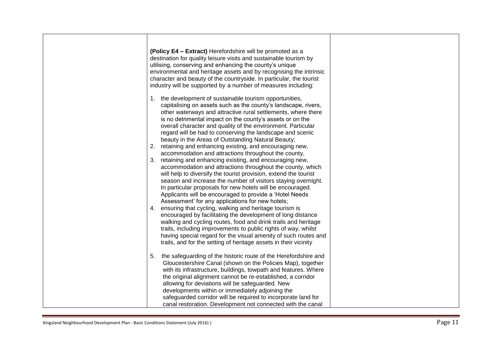| (Policy E4 – Extract) Herefordshire will be promoted as a<br>destination for quality leisure visits and sustainable tourism by<br>utilising, conserving and enhancing the county's unique<br>environmental and heritage assets and by recognising the intrinsic<br>character and beauty of the countryside. In particular, the tourist<br>industry will be supported by a number of measures including:                                                                                                                                                                                                                                                                                                                                                                                                                                                                                                   |  |
|-----------------------------------------------------------------------------------------------------------------------------------------------------------------------------------------------------------------------------------------------------------------------------------------------------------------------------------------------------------------------------------------------------------------------------------------------------------------------------------------------------------------------------------------------------------------------------------------------------------------------------------------------------------------------------------------------------------------------------------------------------------------------------------------------------------------------------------------------------------------------------------------------------------|--|
| 1. the development of sustainable tourism opportunities,<br>capitalising on assets such as the county's landscape, rivers,<br>other waterways and attractive rural settlements, where there<br>is no detrimental impact on the county's assets or on the<br>overall character and quality of the environment. Particular<br>regard will be had to conserving the landscape and scenic<br>beauty in the Areas of Outstanding Natural Beauty;                                                                                                                                                                                                                                                                                                                                                                                                                                                               |  |
| 2. retaining and enhancing existing, and encouraging new,                                                                                                                                                                                                                                                                                                                                                                                                                                                                                                                                                                                                                                                                                                                                                                                                                                                 |  |
| accommodation and attractions throughout the county,<br>3. retaining and enhancing existing, and encouraging new,<br>accommodation and attractions throughout the county, which<br>will help to diversify the tourist provision, extend the tourist<br>season and increase the number of visitors staying overnight.<br>In particular proposals for new hotels will be encouraged.<br>Applicants will be encouraged to provide a 'Hotel Needs'<br>Assessment' for any applications for new hotels;<br>4. ensuring that cycling, walking and heritage tourism is<br>encouraged by facilitating the development of long distance<br>walking and cycling routes, food and drink trails and heritage<br>trails, including improvements to public rights of way, whilst<br>having special regard for the visual amenity of such routes and<br>trails, and for the setting of heritage assets in their vicinity |  |
| 5. the safeguarding of the historic route of the Herefordshire and<br>Gloucestershire Canal (shown on the Policies Map), together<br>with its infrastructure, buildings, towpath and features. Where<br>the original alignment cannot be re-established, a corridor<br>allowing for deviations will be safeguarded. New<br>developments within or immediately adjoining the<br>safeguarded corridor will be required to incorporate land for<br>canal restoration. Development not connected with the canal                                                                                                                                                                                                                                                                                                                                                                                               |  |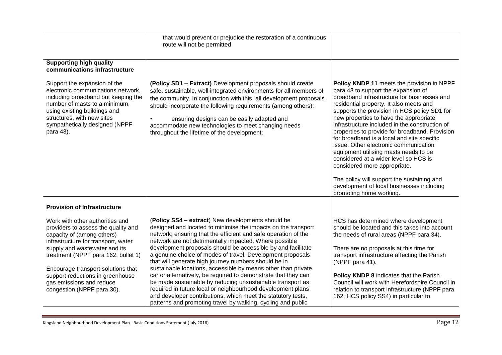|                                                                                                                                                                                                                     | that would prevent or prejudice the restoration of a continuous<br>route will not be permitted                                                                                                                                                                                                                                                                                                                                       |                                                                                                                                                                                                                                                                                                                                                                                                                                                |
|---------------------------------------------------------------------------------------------------------------------------------------------------------------------------------------------------------------------|--------------------------------------------------------------------------------------------------------------------------------------------------------------------------------------------------------------------------------------------------------------------------------------------------------------------------------------------------------------------------------------------------------------------------------------|------------------------------------------------------------------------------------------------------------------------------------------------------------------------------------------------------------------------------------------------------------------------------------------------------------------------------------------------------------------------------------------------------------------------------------------------|
| <b>Supporting high quality</b><br>communications infrastructure<br>Support the expansion of the<br>electronic communications network,<br>including broadband but keeping the                                        | (Policy SD1 - Extract) Development proposals should create<br>safe, sustainable, well integrated environments for all members of                                                                                                                                                                                                                                                                                                     | Policy KNDP 11 meets the provision in NPPF<br>para 43 to support the expansion of<br>broadband infrastructure for businesses and                                                                                                                                                                                                                                                                                                               |
| number of masts to a minimum,<br>using existing buildings and<br>structures, with new sites<br>sympathetically designed (NPPF<br>para 43).                                                                          | the community. In conjunction with this, all development proposals<br>should incorporate the following requirements (among others):<br>ensuring designs can be easily adapted and<br>accommodate new technologies to meet changing needs<br>throughout the lifetime of the development;                                                                                                                                              | residential property. It also meets and<br>supports the provision in HCS policy SD1 for<br>new properties to have the appropriate<br>infrastructure included in the construction of<br>properties to provide for broadband. Provision<br>for broadband is a local and site specific<br>issue. Other electronic communication<br>equipment utilising masts needs to be<br>considered at a wider level so HCS is<br>considered more appropriate. |
|                                                                                                                                                                                                                     |                                                                                                                                                                                                                                                                                                                                                                                                                                      | The policy will support the sustaining and<br>development of local businesses including<br>promoting home working.                                                                                                                                                                                                                                                                                                                             |
| <b>Provision of Infrastructure</b>                                                                                                                                                                                  |                                                                                                                                                                                                                                                                                                                                                                                                                                      |                                                                                                                                                                                                                                                                                                                                                                                                                                                |
| Work with other authorities and<br>providers to assess the quality and<br>capacity of (among others)<br>infrastructure for transport, water<br>supply and wastewater and its<br>treatment (NPPF para 162, bullet 1) | (Policy SS4 - extract) New developments should be<br>designed and located to minimise the impacts on the transport<br>network; ensuring that the efficient and safe operation of the<br>network are not detrimentally impacted. Where possible<br>development proposals should be accessible by and facilitate<br>a genuine choice of modes of travel. Development proposals<br>that will generate high journey numbers should be in | HCS has determined where development<br>should be located and this takes into account<br>the needs of rural areas (NPPF para 34).<br>There are no proposals at this time for<br>transport infrastructure affecting the Parish<br>(NPPF para 41).                                                                                                                                                                                               |
| Encourage transport solutions that<br>support reductions in greenhouse<br>gas emissions and reduce<br>congestion (NPPF para 30).                                                                                    | sustainable locations, accessible by means other than private<br>car or alternatively, be required to demonstrate that they can<br>be made sustainable by reducing unsustainable transport as<br>required in future local or neighbourhood development plans<br>and developer contributions, which meet the statutory tests,<br>patterns and promoting travel by walking, cycling and public                                         | Policy KNDP 8 indicates that the Parish<br>Council will work with Herefordshire Council in<br>relation to transport infrastructure (NPPF para<br>162; HCS policy SS4) in particular to                                                                                                                                                                                                                                                         |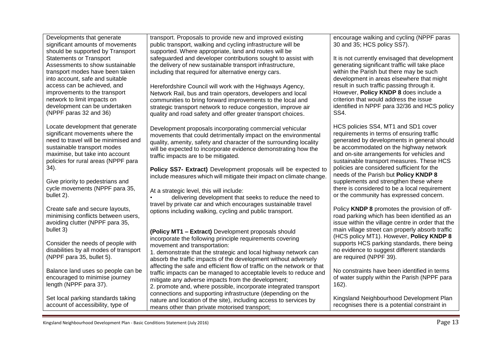| Developments that generate<br>significant amounts of movements<br>should be supported by Transport                                                                                                                                                                                                | transport. Proposals to provide new and improved existing<br>public transport, walking and cycling infrastructure will be<br>supported. Where appropriate, land and routes will be                                                                                                                                                                                                                                                                                                                            | encourage walking and cycling (NPPF paras<br>30 and 35; HCS policy SS7).                                                                                                                                                                                                                                                                                                          |
|---------------------------------------------------------------------------------------------------------------------------------------------------------------------------------------------------------------------------------------------------------------------------------------------------|---------------------------------------------------------------------------------------------------------------------------------------------------------------------------------------------------------------------------------------------------------------------------------------------------------------------------------------------------------------------------------------------------------------------------------------------------------------------------------------------------------------|-----------------------------------------------------------------------------------------------------------------------------------------------------------------------------------------------------------------------------------------------------------------------------------------------------------------------------------------------------------------------------------|
| <b>Statements or Transport</b><br>Assessments to show sustainable<br>transport modes have been taken<br>into account, safe and suitable<br>access can be achieved, and<br>improvements to the transport<br>network to limit impacts on<br>development can be undertaken<br>(NPPF paras 32 and 36) | safeguarded and developer contributions sought to assist with<br>the delivery of new sustainable transport infrastructure,<br>including that required for alternative energy cars.<br>Herefordshire Council will work with the Highways Agency,<br>Network Rail, bus and train operators, developers and local<br>communities to bring forward improvements to the local and<br>strategic transport network to reduce congestion, improve air<br>quality and road safety and offer greater transport choices. | It is not currently envisaged that development<br>generating significant traffic will take place<br>within the Parish but there may be such<br>development in areas elsewhere that might<br>result in such traffic passing through it.<br>However, Policy KNDP 8 does include a<br>criterion that would address the issue<br>identified in NPPF para 32/36 and HCS policy<br>SS4. |
| Locate development that generate<br>significant movements where the<br>need to travel will be minimised and<br>sustainable transport modes<br>maximise, but take into account<br>policies for rural areas (NPPF para<br>34).                                                                      | Development proposals incorporating commercial vehicular<br>movements that could detrimentally impact on the environmental<br>quality, amenity, safety and character of the surrounding locality<br>will be expected to incorporate evidence demonstrating how the<br>traffic impacts are to be mitigated.<br>Policy SS7- Extract) Development proposals will be expected to                                                                                                                                  | HCS policies SS4, MT1 and SD1 cover<br>requirements in terms of ensuring traffic<br>generated by developments in general should<br>be accommodated on the highway network<br>and on-site arrangements for vehicles and<br>sustainable transport measures. These HCS<br>policies are considered sufficient for the<br>needs of the Parish but Policy KNDP 8                        |
| Give priority to pedestrians and<br>cycle movements (NPPF para 35,<br>bullet 2).                                                                                                                                                                                                                  | include measures which will mitigate their impact on climate change.<br>At a strategic level, this will include:<br>delivering development that seeks to reduce the need to                                                                                                                                                                                                                                                                                                                                   | supplements and strengthen these where<br>there is considered to be a local requirement<br>or the community has expressed concern.                                                                                                                                                                                                                                                |
| Create safe and secure layouts,<br>minimising conflicts between users,<br>avoiding clutter (NPPF para 35,<br>bullet 3)                                                                                                                                                                            | travel by private car and which encourages sustainable travel<br>options including walking, cycling and public transport.<br>(Policy MT1 - Extract) Development proposals should                                                                                                                                                                                                                                                                                                                              | Policy KNDP 8 promotes the provision of off-<br>road parking which has been identified as an<br>issue within the village centre in order that the<br>main village street can properly absorb traffic                                                                                                                                                                              |
| Consider the needs of people with<br>disabilities by all modes of transport<br>(NPPF para 35, bullet 5).                                                                                                                                                                                          | incorporate the following principle requirements covering<br>movement and transportation:<br>1. demonstrate that the strategic and local highway network can<br>absorb the traffic impacts of the development without adversely                                                                                                                                                                                                                                                                               | (HCS policy MT1). However, Policy KNDP 8<br>supports HCS parking standards, there being<br>no evidence to suggest different standards<br>are required (NPPF 39).                                                                                                                                                                                                                  |
| Balance land uses so people can be<br>encouraged to minimise journey<br>length (NPPF para 37).                                                                                                                                                                                                    | affecting the safe and efficient flow of traffic on the network or that<br>traffic impacts can be managed to acceptable levels to reduce and<br>mitigate any adverse impacts from the development;<br>2. promote and, where possible, incorporate integrated transport                                                                                                                                                                                                                                        | No constraints have been identified in terms<br>of water supply within the Parish (NPPF para<br>$162$ ).                                                                                                                                                                                                                                                                          |
| Set local parking standards taking<br>account of accessibility, type of                                                                                                                                                                                                                           | connections and supporting infrastructure (depending on the<br>nature and location of the site), including access to services by<br>means other than private motorised transport;                                                                                                                                                                                                                                                                                                                             | Kingsland Neighbourhood Development Plan<br>recognises there is a potential constraint in                                                                                                                                                                                                                                                                                         |

 $\sim$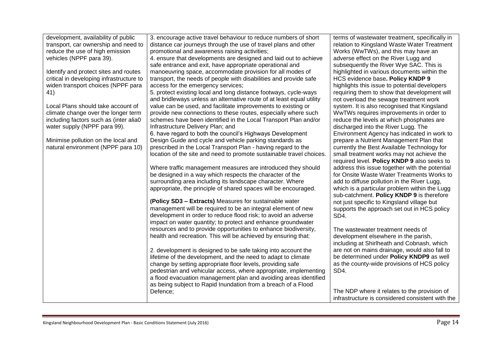| development, availability of public      | 3. encourage active travel behaviour to reduce numbers of short      | terms of wastewater treatment, specifically in   |
|------------------------------------------|----------------------------------------------------------------------|--------------------------------------------------|
| transport, car ownership and need to     | distance car journeys through the use of travel plans and other      | relation to Kingsland Waste Water Treatment      |
| reduce the use of high emission          | promotional and awareness raising activities;                        | Works (WwTWs), and this may have an              |
| vehicles (NPPF para 39).                 | 4. ensure that developments are designed and laid out to achieve     | adverse effect on the River Lugg and             |
|                                          | safe entrance and exit, have appropriate operational and             | subsequently the River Wye SAC. This is          |
| Identify and protect sites and routes    | manoeuvring space, accommodate provision for all modes of            | highlighted in various documents within the      |
| critical in developing infrastructure to | transport, the needs of people with disabilities and provide safe    | HCS evidence base. Policy KNDP 9                 |
| widen transport choices (NPPF para       | access for the emergency services;                                   | highlights this issue to potential developers    |
| 41)                                      | 5. protect existing local and long distance footways, cycle-ways     | requiring them to show that development will     |
|                                          | and bridleways unless an alternative route of at least equal utility | not overload the sewage treatment work           |
| Local Plans should take account of       | value can be used, and facilitate improvements to existing or        | system. It is also recognised that Kingsland     |
| climate change over the longer term      | provide new connections to these routes, especially where such       | WwTWs requires improvements in order to          |
| including factors such as (inter alia0   | schemes have been identified in the Local Transport Plan and/or      | reduce the levels at which phosphates are        |
| water supply (NPPF para 99).             | Infrastructure Delivery Plan; and                                    | discharged into the River Lugg. The              |
|                                          | 6. have regard to both the council's Highways Development            | Environment Agency has indicated in work to      |
| Minimise pollution on the local and      | Design Guide and cycle and vehicle parking standards as              | prepare a Nutrient Management Plan that          |
| natural environment (NPPF para 10)       | prescribed in the Local Transport Plan - having regard to the        | currently the Best Available Technology for      |
|                                          | location of the site and need to promote sustainable travel choices. | small treatment works may not achieve the        |
|                                          |                                                                      | required level. Policy KNDP 9 also seeks to      |
|                                          | Where traffic management measures are introduced they should         | address this issue together with the potential   |
|                                          | be designed in a way which respects the character of the             | for Onsite Waste Water Treatments Works to       |
|                                          | surrounding area including its landscape character. Where            | add to diffuse pollution in the River Lugg,      |
|                                          | appropriate, the principle of shared spaces will be encouraged.      | which is a particular problem within the Lugg    |
|                                          |                                                                      | sub-catchment. Policy KNDP 9 is therefore        |
|                                          | (Policy SD3 - Extracts) Measures for sustainable water               | not just specific to Kingsland village but       |
|                                          | management will be required to be an integral element of new         | supports the approach set out in HCS policy      |
|                                          | development in order to reduce flood risk; to avoid an adverse       | SD4.                                             |
|                                          | impact on water quantity; to protect and enhance groundwater         |                                                  |
|                                          | resources and to provide opportunities to enhance biodiversity,      | The wastewater treatment needs of                |
|                                          | health and recreation. This will be achieved by ensuring that:       | development elsewhere in the parish,             |
|                                          |                                                                      | including at Shirlheath and Cobnash, which       |
|                                          | 2. development is designed to be safe taking into account the        | are not on mains drainage, would also fall to    |
|                                          | lifetime of the development, and the need to adapt to climate        | be determined under Policy KNDP9 as well         |
|                                          | change by setting appropriate floor levels, providing safe           | as the county-wide provisions of HCS policy      |
|                                          | pedestrian and vehicular access, where appropriate, implementing     | SD4.                                             |
|                                          | a flood evacuation management plan and avoiding areas identified     |                                                  |
|                                          | as being subject to Rapid Inundation from a breach of a Flood        |                                                  |
|                                          | Defence;                                                             | The NDP where it relates to the provision of     |
|                                          |                                                                      | infrastructure is considered consistent with the |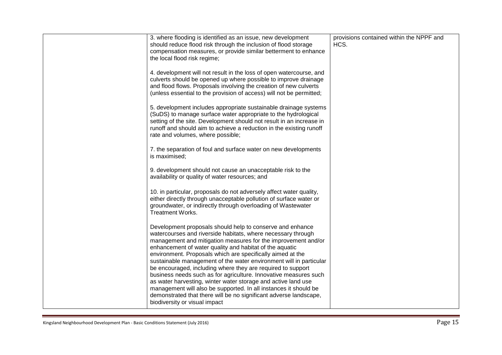| 3. where flooding is identified as an issue, new development<br>should reduce flood risk through the inclusion of flood storage<br>compensation measures, or provide similar betterment to enhance<br>the local flood risk regime;<br>4. development will not result in the loss of open watercourse, and<br>culverts should be opened up where possible to improve drainage<br>and flood flows. Proposals involving the creation of new culverts<br>(unless essential to the provision of access) will not be permitted;<br>5. development includes appropriate sustainable drainage systems<br>(SuDS) to manage surface water appropriate to the hydrological<br>setting of the site. Development should not result in an increase in<br>runoff and should aim to achieve a reduction in the existing runoff<br>rate and volumes, where possible;<br>7. the separation of foul and surface water on new developments<br>is maximised;<br>9. development should not cause an unacceptable risk to the<br>availability or quality of water resources; and<br>10. in particular, proposals do not adversely affect water quality,<br>either directly through unacceptable pollution of surface water or<br>groundwater, or indirectly through overloading of Wastewater<br>Treatment Works.<br>Development proposals should help to conserve and enhance<br>watercourses and riverside habitats, where necessary through<br>management and mitigation measures for the improvement and/or<br>enhancement of water quality and habitat of the aquatic<br>environment. Proposals which are specifically aimed at the<br>sustainable management of the water environment will in particular<br>be encouraged, including where they are required to support<br>business needs such as for agriculture. Innovative measures such<br>as water harvesting, winter water storage and active land use<br>management will also be supported. In all instances it should be | provisions contained within the NPPF and<br>HCS. |
|-----------------------------------------------------------------------------------------------------------------------------------------------------------------------------------------------------------------------------------------------------------------------------------------------------------------------------------------------------------------------------------------------------------------------------------------------------------------------------------------------------------------------------------------------------------------------------------------------------------------------------------------------------------------------------------------------------------------------------------------------------------------------------------------------------------------------------------------------------------------------------------------------------------------------------------------------------------------------------------------------------------------------------------------------------------------------------------------------------------------------------------------------------------------------------------------------------------------------------------------------------------------------------------------------------------------------------------------------------------------------------------------------------------------------------------------------------------------------------------------------------------------------------------------------------------------------------------------------------------------------------------------------------------------------------------------------------------------------------------------------------------------------------------------------------------------------------------------------------------------------------------------------------------------------------------------------------------------|--------------------------------------------------|
| demonstrated that there will be no significant adverse landscape,<br>biodiversity or visual impact                                                                                                                                                                                                                                                                                                                                                                                                                                                                                                                                                                                                                                                                                                                                                                                                                                                                                                                                                                                                                                                                                                                                                                                                                                                                                                                                                                                                                                                                                                                                                                                                                                                                                                                                                                                                                                                              |                                                  |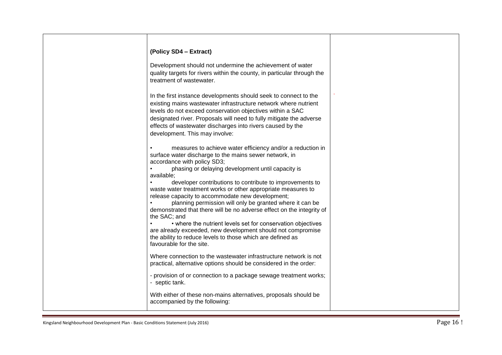| (Policy SD4 - Extract)                                                                                                                                                                                                                                                                                                                                                                                                                                                                                                                                                                                                                                                                                                                                                              |
|-------------------------------------------------------------------------------------------------------------------------------------------------------------------------------------------------------------------------------------------------------------------------------------------------------------------------------------------------------------------------------------------------------------------------------------------------------------------------------------------------------------------------------------------------------------------------------------------------------------------------------------------------------------------------------------------------------------------------------------------------------------------------------------|
| Development should not undermine the achievement of water<br>quality targets for rivers within the county, in particular through the<br>treatment of wastewater.                                                                                                                                                                                                                                                                                                                                                                                                                                                                                                                                                                                                                    |
| In the first instance developments should seek to connect to the<br>existing mains wastewater infrastructure network where nutrient<br>levels do not exceed conservation objectives within a SAC<br>designated river. Proposals will need to fully mitigate the adverse<br>effects of wastewater discharges into rivers caused by the<br>development. This may involve:                                                                                                                                                                                                                                                                                                                                                                                                             |
| measures to achieve water efficiency and/or a reduction in<br>surface water discharge to the mains sewer network, in<br>accordance with policy SD3;<br>phasing or delaying development until capacity is<br>available;<br>developer contributions to contribute to improvements to<br>waste water treatment works or other appropriate measures to<br>release capacity to accommodate new development;<br>planning permission will only be granted where it can be<br>demonstrated that there will be no adverse effect on the integrity of<br>the SAC; and<br>• where the nutrient levels set for conservation objectives<br>are already exceeded, new development should not compromise<br>the ability to reduce levels to those which are defined as<br>favourable for the site. |
| Where connection to the wastewater infrastructure network is not<br>practical, alternative options should be considered in the order:                                                                                                                                                                                                                                                                                                                                                                                                                                                                                                                                                                                                                                               |
| - provision of or connection to a package sewage treatment works;<br>- septic tank.                                                                                                                                                                                                                                                                                                                                                                                                                                                                                                                                                                                                                                                                                                 |
| With either of these non-mains alternatives, proposals should be<br>accompanied by the following:                                                                                                                                                                                                                                                                                                                                                                                                                                                                                                                                                                                                                                                                                   |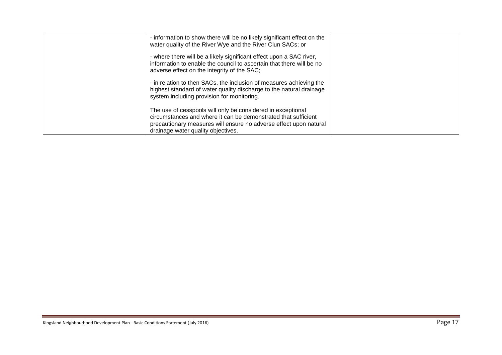| - information to show there will be no likely significant effect on the<br>water quality of the River Wye and the River Clun SACs; or                                                                                                    |  |
|------------------------------------------------------------------------------------------------------------------------------------------------------------------------------------------------------------------------------------------|--|
| - where there will be a likely significant effect upon a SAC river,<br>information to enable the council to ascertain that there will be no<br>adverse effect on the integrity of the SAC;                                               |  |
| - in relation to then SACs, the inclusion of measures achieving the<br>highest standard of water quality discharge to the natural drainage<br>system including provision for monitoring.                                                 |  |
| The use of cesspools will only be considered in exceptional<br>circumstances and where it can be demonstrated that sufficient<br>precautionary measures will ensure no adverse effect upon natural<br>drainage water quality objectives. |  |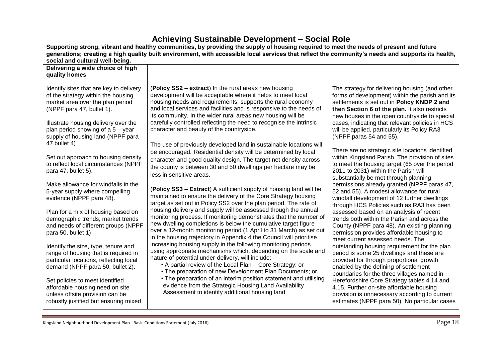| Supporting strong, vibrant and healthy communities, by providing the supply of housing required to meet the needs of present and future<br>generations; creating a high quality built environment, with accessible local services that reflect the community's needs and supports its health,<br>social and cultural well-being. |                                                                                                                                                                                                                                                                                                                                                    |                                                                                                                                                                                                                                                    |
|----------------------------------------------------------------------------------------------------------------------------------------------------------------------------------------------------------------------------------------------------------------------------------------------------------------------------------|----------------------------------------------------------------------------------------------------------------------------------------------------------------------------------------------------------------------------------------------------------------------------------------------------------------------------------------------------|----------------------------------------------------------------------------------------------------------------------------------------------------------------------------------------------------------------------------------------------------|
| Delivering a wide choice of high<br>quality homes                                                                                                                                                                                                                                                                                |                                                                                                                                                                                                                                                                                                                                                    |                                                                                                                                                                                                                                                    |
| Identify sites that are key to delivery<br>of the strategy within the housing<br>market area over the plan period<br>(NPPF para 47, bullet 1).                                                                                                                                                                                   | (Policy SS2 – extract) In the rural areas new housing<br>development will be acceptable where it helps to meet local<br>housing needs and requirements, supports the rural economy<br>and local services and facilities and is responsive to the needs of<br>its community. In the wider rural areas new housing will be                           | The strategy for delivering housing (and other<br>forms of development) within the parish and its<br>settlements is set out in Policy KNDP 2 and<br>then Section 6 of the plan. It also restricts<br>new houses in the open countryside to special |
| Illustrate housing delivery over the<br>plan period showing of a $5 - year$<br>supply of housing land (NPPF para                                                                                                                                                                                                                 | carefully controlled reflecting the need to recognise the intrinsic<br>character and beauty of the countryside.                                                                                                                                                                                                                                    | cases, indicating that relevant policies in HCS<br>will be applied, particularly its Policy RA3<br>(NPPF paras 54 and 55).                                                                                                                         |
| 47 bullet 4)<br>Set out approach to housing density<br>to reflect local circumstances (NPPF<br>para 47, bullet 5).                                                                                                                                                                                                               | The use of previously developed land in sustainable locations will<br>be encouraged. Residential density will be determined by local<br>character and good quality design. The target net density across<br>the county is between 30 and 50 dwellings per hectare may be<br>less in sensitive areas.                                               | There are no strategic site locations identified<br>within Kingsland Parish. The provision of sites<br>to meet the housing target (65 over the period<br>2011 to 2031) within the Parish will<br>substantially be met through planning             |
| Make allowance for windfalls in the<br>5-year supply where compelling<br>evidence (NPPF para 48).                                                                                                                                                                                                                                | (Policy SS3 - Extract) A sufficient supply of housing land will be<br>maintained to ensure the delivery of the Core Strategy housing<br>target as set out in Policy SS2 over the plan period. The rate of                                                                                                                                          | permissions already granted (NPPF paras 47,<br>52 and 55). A modest allowance for rural<br>windfall development of 12 further dwellings<br>through HCS Policies such as RA3 has been                                                               |
| Plan for a mix of housing based on<br>demographic trends, market trends<br>and needs of different groups (NPPF<br>para 50, bullet 1)                                                                                                                                                                                             | housing delivery and supply will be assessed though the annual<br>monitoring process. If monitoring demonstrates that the number of<br>new dwelling completions is below the cumulative target figure<br>over a 12-month monitoring period (1 April to 31 March) as set out<br>in the housing trajectory in Appendix 4 the Council will prioritise | assessed based on an analysis of recent<br>trends both within the Parish and across the<br>County (NPPF para 48). An existing planning<br>permission provides affordable housing to<br>meet current assessed needs. The                            |
| Identify the size, type, tenure and<br>range of housing that is required in<br>particular locations, reflecting local<br>demand (NPPF para 50, bullet 2).                                                                                                                                                                        | increasing housing supply in the following monitoring periods<br>using appropriate mechanisms which, depending on the scale and<br>nature of potential under-delivery, will include:<br>• A partial review of the Local Plan – Core Strategy: or<br>• The preparation of new Development Plan Documents; or                                        | outstanding housing requirement for the plan<br>period is some 25 dwellings and these are<br>provided for through proportional growth<br>enabled by the defining of settlement<br>boundaries for the three villages named in                       |
| Set policies to meet identified<br>affordable housing need on site<br>unless offsite provision can be<br>robustly justified but ensuring mixed                                                                                                                                                                                   | • The preparation of an interim position statement and utilising<br>evidence from the Strategic Housing Land Availability<br>Assessment to identify additional housing land                                                                                                                                                                        | Herefordshire Core Strategy tables 4.14 and<br>4.15. Further on-site affordable housing<br>provision is unnecessary according to current<br>estimates (NPPF para 50). No particular cases                                                          |

#### **Achieving Sustainable Development – Social Role**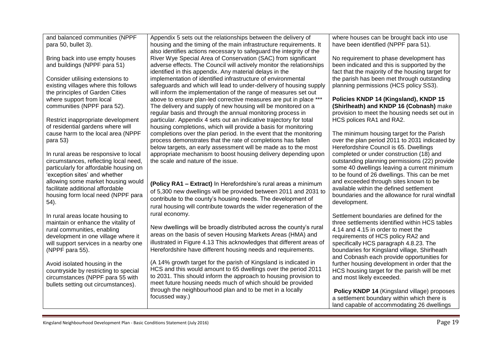| and balanced communities (NPPF         | Appendix 5 sets out the relationships between the delivery of                                                                    | where houses can be brought back into use                                                |
|----------------------------------------|----------------------------------------------------------------------------------------------------------------------------------|------------------------------------------------------------------------------------------|
| para 50, bullet 3).                    | housing and the timing of the main infrastructure requirements. It                                                               | have been identified (NPPF para 51).                                                     |
|                                        | also identifies actions necessary to safeguard the integrity of the                                                              |                                                                                          |
| Bring back into use empty houses       | River Wye Special Area of Conservation (SAC) from significant                                                                    | No requirement to phase development has                                                  |
| and buildings (NPPF para 51)           | adverse effects. The Council will actively monitor the relationships                                                             | been indicated and this is supported by the                                              |
|                                        | identified in this appendix. Any material delays in the                                                                          | fact that the majority of the housing target for                                         |
| Consider utilising extensions to       | implementation of identified infrastructure of environmental                                                                     | the parish has been met through outstanding                                              |
| existing villages where this follows   | safeguards and which will lead to under-delivery of housing supply                                                               | planning permissions (HCS policy SS3).                                                   |
| the principles of Garden Cities        | will inform the implementation of the range of measures set out                                                                  |                                                                                          |
| where support from local               | above to ensure plan-led corrective measures are put in place ***                                                                | Policies KNDP 14 (Kingsland), KNDP 15                                                    |
| communities (NPPF para 52).            | The delivery and supply of new housing will be monitored on a                                                                    | (Shirlheath) and KNDP 16 (Cobnash) make                                                  |
|                                        | regular basis and through the annual monitoring process in                                                                       | provision to meet the housing needs set out in                                           |
| Restrict inappropriate development     | particular. Appendix 4 sets out an indicative trajectory for total                                                               | HCS polices RA1 and RA2.                                                                 |
| of residential gardens where will      | housing completions, which will provide a basis for monitoring                                                                   |                                                                                          |
| cause harm to the local area (NPPF     | completions over the plan period. In the event that the monitoring                                                               | The minimum housing target for the Parish                                                |
| para 53)                               | process demonstrates that the rate of completions has fallen                                                                     | over the plan period 2011 to 2031 indicated by<br>Herefordshire Council is 65. Dwellings |
| In rural areas be responsive to local  | below targets, an early assessment will be made as to the most<br>appropriate mechanism to boost housing delivery depending upon | completed or under construction (18) and                                                 |
| circumstances, reflecting local need,  | the scale and nature of the issue.                                                                                               | outstanding planning permissions (22) provide                                            |
| particularly for affordable housing on |                                                                                                                                  | some 40 dwellings leaving a current minimum                                              |
| 'exception sites' and whether          |                                                                                                                                  | to be found of 26 dwellings. This can be met                                             |
| allowing some market housing would     |                                                                                                                                  | and exceeded through sites known to be                                                   |
| facilitate additional affordable       | (Policy RA1 - Extract) In Herefordshire's rural areas a minimum                                                                  | available within the defined settlement                                                  |
| housing form local need (NPPF para     | of 5,300 new dwellings will be provided between 2011 and 2031 to                                                                 | boundaries and the allowance for rural windfall                                          |
| 54).                                   | contribute to the county's housing needs. The development of                                                                     | development.                                                                             |
|                                        | rural housing will contribute towards the wider regeneration of the                                                              |                                                                                          |
| In rural areas locate housing to       | rural economy.                                                                                                                   | Settlement boundaries are defined for the                                                |
| maintain or enhance the vitality of    |                                                                                                                                  | three settlements identified within HCS tables                                           |
| rural communities, enabling            | New dwellings will be broadly distributed across the county's rural                                                              | 4.14 and 4.15 in order to meet the                                                       |
| development in one village where it    | areas on the basis of seven Housing Markets Areas (HMA) and                                                                      | requirements of HCS policy RA2 and                                                       |
| will support services in a nearby one  | illustrated in Figure 4.13 This acknowledges that different areas of                                                             | specifically HCS paragraph 4.8.23. The                                                   |
| (NPPF para 55).                        | Herefordshire have different housing needs and requirements.                                                                     | boundaries for Kingsland village, Shirlheath                                             |
|                                        |                                                                                                                                  | and Cobnash each provide opportunities for                                               |
| Avoid isolated housing in the          | (A 14% growth target for the parish of Kingsland is indicated in                                                                 | further housing development in order that the                                            |
| countryside by restricting to special  | HCS and this would amount to 65 dwellings over the period 2011                                                                   | HCS housing target for the parish will be met                                            |
| circumstances (NPPF para 55 with       | to 2031. This should inform the approach to housing provision to                                                                 | and most likely exceeded.                                                                |
| bullets setting out circumstances).    | meet future housing needs much of which should be provided                                                                       |                                                                                          |
|                                        | through the neighbourhood plan and to be met in a locally<br>focussed way.)                                                      | Policy KNDP 14 (Kingsland village) proposes                                              |
|                                        |                                                                                                                                  | a settlement boundary within which there is                                              |
|                                        |                                                                                                                                  | land capable of accommodating 26 dwellings                                               |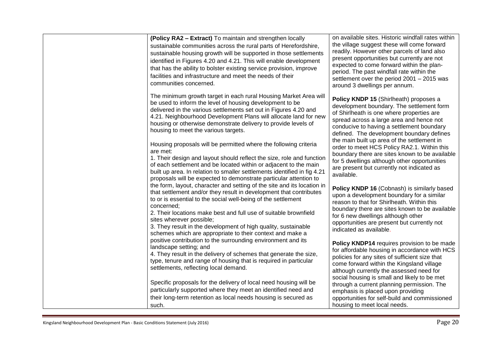| (Policy RA2 - Extract) To maintain and strengthen locally<br>sustainable communities across the rural parts of Herefordshire,<br>sustainable housing growth will be supported in those settlements<br>identified in Figures 4.20 and 4.21. This will enable development<br>that has the ability to bolster existing service provision, improve<br>facilities and infrastructure and meet the needs of their<br>communities concerned.                                                                                                                                                                                                                                                                                                                        | on available sites. Historic windfall rates within<br>the village suggest these will come forward<br>readily. However other parcels of land also<br>present opportunities but currently are not<br>expected to come forward within the plan-<br>period. The past windfall rate within the<br>settlement over the period 2001 - 2015 was<br>around 3 dwellings per annum.                                                                                                                                                           |
|--------------------------------------------------------------------------------------------------------------------------------------------------------------------------------------------------------------------------------------------------------------------------------------------------------------------------------------------------------------------------------------------------------------------------------------------------------------------------------------------------------------------------------------------------------------------------------------------------------------------------------------------------------------------------------------------------------------------------------------------------------------|------------------------------------------------------------------------------------------------------------------------------------------------------------------------------------------------------------------------------------------------------------------------------------------------------------------------------------------------------------------------------------------------------------------------------------------------------------------------------------------------------------------------------------|
| The minimum growth target in each rural Housing Market Area will<br>be used to inform the level of housing development to be<br>delivered in the various settlements set out in Figures 4.20 and<br>4.21. Neighbourhood Development Plans will allocate land for new<br>housing or otherwise demonstrate delivery to provide levels of<br>housing to meet the various targets.<br>Housing proposals will be permitted where the following criteria<br>are met:<br>1. Their design and layout should reflect the size, role and function<br>of each settlement and be located within or adjacent to the main<br>built up area. In relation to smaller settlements identified in fig 4.21<br>proposals will be expected to demonstrate particular attention to | Policy KNDP 15 (Shirlheath) proposes a<br>development boundary. The settlement form<br>of Shirlheath is one where properties are<br>spread across a large area and hence not<br>conducive to having a settlement boundary<br>defined. The development boundary defines<br>the main built up area of the settlement in<br>order to meet HCS Policy RA2.1. Within this<br>boundary there are sites known to be available<br>for 5 dwellings although other opportunities<br>are present but currently not indicated as<br>available. |
| the form, layout, character and setting of the site and its location in<br>that settlement and/or they result in development that contributes<br>to or is essential to the social well-being of the settlement<br>concerned:<br>2. Their locations make best and full use of suitable brownfield<br>sites wherever possible;<br>3. They result in the development of high quality, sustainable<br>schemes which are appropriate to their context and make a                                                                                                                                                                                                                                                                                                  | Policy KNDP 16 (Cobnash) is similarly based<br>upon a development boundary for a similar<br>reason to that for Shirlheath. Within this<br>boundary there are sites known to be available<br>for 6 new dwellings although other<br>opportunities are present but currently not<br>indicated as available.                                                                                                                                                                                                                           |
| positive contribution to the surrounding environment and its<br>landscape setting; and<br>4. They result in the delivery of schemes that generate the size,<br>type, tenure and range of housing that is required in particular<br>settlements, reflecting local demand.                                                                                                                                                                                                                                                                                                                                                                                                                                                                                     | Policy KNDP14 requires provision to be made<br>for affordable housing in accordance with HCS<br>policies for any sites of sufficient size that<br>come forward within the Kingsland village<br>although currently the assessed need for<br>social housing is small and likely to be met                                                                                                                                                                                                                                            |
| Specific proposals for the delivery of local need housing will be<br>particularly supported where they meet an identified need and<br>their long-term retention as local needs housing is secured as<br>such.                                                                                                                                                                                                                                                                                                                                                                                                                                                                                                                                                | through a current planning permission. The<br>emphasis is placed upon providing<br>opportunities for self-build and commissioned<br>housing to meet local needs.                                                                                                                                                                                                                                                                                                                                                                   |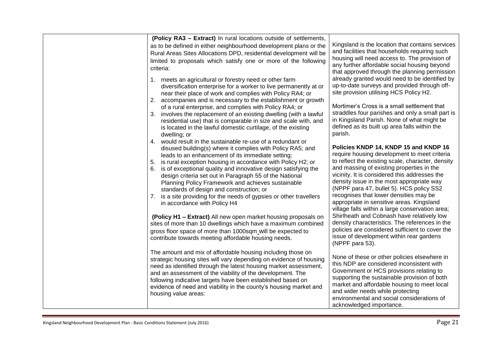| (Policy RA3 - Extract) In rural locations outside of settlements,<br>as to be defined in either neighbourhood development plans or the<br>Rural Areas Sites Allocations DPD, residential development will be<br>limited to proposals which satisfy one or more of the following<br>criteria:<br>1. meets an agricultural or forestry need or other farm<br>diversification enterprise for a worker to live permanently at or<br>near their place of work and complies with Policy RA4; or<br>2. accompanies and is necessary to the establishment or growth<br>of a rural enterprise, and complies with Policy RA4; or                                                                                                                                                                                                                                   | Kingsland is the location that contains services<br>and facilities that households requiring such<br>housing will need access to. The provision of<br>any further affordable social housing beyond<br>that approved through the planning permission<br>already granted would need to be identified by<br>up-to-date surveys and provided through off-<br>site provision utilising HCS Policy H2.<br>Mortimer's Cross is a small settlement that                                                                                                                                                                                                                                               |
|----------------------------------------------------------------------------------------------------------------------------------------------------------------------------------------------------------------------------------------------------------------------------------------------------------------------------------------------------------------------------------------------------------------------------------------------------------------------------------------------------------------------------------------------------------------------------------------------------------------------------------------------------------------------------------------------------------------------------------------------------------------------------------------------------------------------------------------------------------|-----------------------------------------------------------------------------------------------------------------------------------------------------------------------------------------------------------------------------------------------------------------------------------------------------------------------------------------------------------------------------------------------------------------------------------------------------------------------------------------------------------------------------------------------------------------------------------------------------------------------------------------------------------------------------------------------|
| involves the replacement of an existing dwelling (with a lawful<br>3.<br>residential use) that is comparable in size and scale with, and<br>is located in the lawful domestic curtilage, of the existing<br>dwelling; or                                                                                                                                                                                                                                                                                                                                                                                                                                                                                                                                                                                                                                 | straddles four parishes and only a small part is<br>in Kingsland Parish. None of what might be<br>defined as its built up area falls within the<br>parish.                                                                                                                                                                                                                                                                                                                                                                                                                                                                                                                                    |
| 4. would result in the sustainable re-use of a redundant or<br>disused building(s) where it complies with Policy RA5; and<br>leads to an enhancement of its immediate setting;<br>is rural exception housing in accordance with Policy H2; or<br>5.<br>is of exceptional quality and innovative design satisfying the<br>6.<br>design criteria set out in Paragraph 55 of the National<br>Planning Policy Framework and achieves sustainable<br>standards of design and construction; or<br>7. is a site providing for the needs of gypsies or other travellers<br>in accordance with Policy H4<br>(Policy H1 - Extract) All new open market housing proposals on<br>sites of more than 10 dwellings which have a maximum combined<br>gross floor space of more than 1000sqm will be expected to<br>contribute towards meeting affordable housing needs. | Policies KNDP 14, KNDP 15 and KNDP 16<br>require housing development to meet criteria<br>to reflect the existing scale, character, density<br>and massing of existing properties in the<br>vicinity. It is considered this addresses the<br>density issue in the most appropriate way<br>(NPPF para 47, bullet 5). HCS policy SS2<br>recognises that lower densities may be<br>appropriate in sensitive areas. Kingsland<br>village falls within a large conservation area;<br>Shirlheath and Cobnash have relatively low<br>density characteristics. The references in the<br>policies are considered sufficient to cover the<br>issue of development within rear gardens<br>(NPPF para 53). |
| The amount and mix of affordable housing including those on<br>strategic housing sites will vary depending on evidence of housing<br>need as identified through the latest housing market assessment,<br>and an assessment of the viability of the development. The<br>following indicative targets have been established based on<br>evidence of need and viability in the county's housing market and<br>housing value areas:                                                                                                                                                                                                                                                                                                                                                                                                                          | None of these or other policies elsewhere in<br>this NDP are considered inconsistent with<br>Government or HCS provisions relating to<br>supporting the sustainable provision of both<br>market and affordable housing to meet local<br>and wider needs while protecting<br>environmental and social considerations of<br>acknowledged importance.                                                                                                                                                                                                                                                                                                                                            |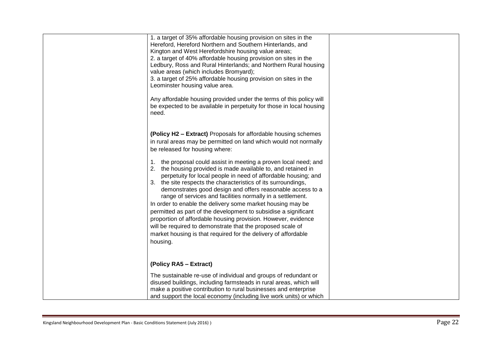| 1. a target of 35% affordable housing provision on sites in the<br>Hereford, Hereford Northern and Southern Hinterlands, and<br>Kington and West Herefordshire housing value areas;<br>2. a target of 40% affordable housing provision on sites in the<br>Ledbury, Ross and Rural Hinterlands; and Northern Rural housing<br>value areas (which includes Bromyard);<br>3. a target of 25% affordable housing provision on sites in the<br>Leominster housing value area.                                                                                                                                                                                                                                                                       |  |
|------------------------------------------------------------------------------------------------------------------------------------------------------------------------------------------------------------------------------------------------------------------------------------------------------------------------------------------------------------------------------------------------------------------------------------------------------------------------------------------------------------------------------------------------------------------------------------------------------------------------------------------------------------------------------------------------------------------------------------------------|--|
| Any affordable housing provided under the terms of this policy will<br>be expected to be available in perpetuity for those in local housing<br>need.                                                                                                                                                                                                                                                                                                                                                                                                                                                                                                                                                                                           |  |
| (Policy H2 - Extract) Proposals for affordable housing schemes<br>in rural areas may be permitted on land which would not normally<br>be released for housing where:                                                                                                                                                                                                                                                                                                                                                                                                                                                                                                                                                                           |  |
| 1. the proposal could assist in meeting a proven local need; and<br>2. the housing provided is made available to, and retained in<br>perpetuity for local people in need of affordable housing; and<br>3. the site respects the characteristics of its surroundings,<br>demonstrates good design and offers reasonable access to a<br>range of services and facilities normally in a settlement.<br>In order to enable the delivery some market housing may be<br>permitted as part of the development to subsidise a significant<br>proportion of affordable housing provision. However, evidence<br>will be required to demonstrate that the proposed scale of<br>market housing is that required for the delivery of affordable<br>housing. |  |
| (Policy RA5 - Extract)                                                                                                                                                                                                                                                                                                                                                                                                                                                                                                                                                                                                                                                                                                                         |  |
| The sustainable re-use of individual and groups of redundant or<br>disused buildings, including farmsteads in rural areas, which will<br>make a positive contribution to rural businesses and enterprise<br>and support the local economy (including live work units) or which                                                                                                                                                                                                                                                                                                                                                                                                                                                                 |  |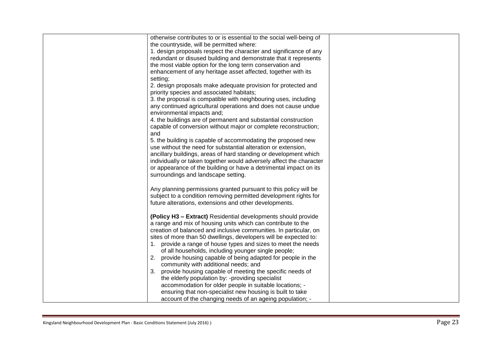| otherwise contributes to or is essential to the social well-being of                                                                                                                                                                                                                                                                                                                                                                                                                                                                                                                                                                                                                                                                                                                                                                                                                                                                                                                                                                                                                                                                                                                             |  |
|--------------------------------------------------------------------------------------------------------------------------------------------------------------------------------------------------------------------------------------------------------------------------------------------------------------------------------------------------------------------------------------------------------------------------------------------------------------------------------------------------------------------------------------------------------------------------------------------------------------------------------------------------------------------------------------------------------------------------------------------------------------------------------------------------------------------------------------------------------------------------------------------------------------------------------------------------------------------------------------------------------------------------------------------------------------------------------------------------------------------------------------------------------------------------------------------------|--|
| the countryside, will be permitted where:                                                                                                                                                                                                                                                                                                                                                                                                                                                                                                                                                                                                                                                                                                                                                                                                                                                                                                                                                                                                                                                                                                                                                        |  |
| 1. design proposals respect the character and significance of any                                                                                                                                                                                                                                                                                                                                                                                                                                                                                                                                                                                                                                                                                                                                                                                                                                                                                                                                                                                                                                                                                                                                |  |
| redundant or disused building and demonstrate that it represents                                                                                                                                                                                                                                                                                                                                                                                                                                                                                                                                                                                                                                                                                                                                                                                                                                                                                                                                                                                                                                                                                                                                 |  |
| the most viable option for the long term conservation and                                                                                                                                                                                                                                                                                                                                                                                                                                                                                                                                                                                                                                                                                                                                                                                                                                                                                                                                                                                                                                                                                                                                        |  |
| enhancement of any heritage asset affected, together with its                                                                                                                                                                                                                                                                                                                                                                                                                                                                                                                                                                                                                                                                                                                                                                                                                                                                                                                                                                                                                                                                                                                                    |  |
| setting;                                                                                                                                                                                                                                                                                                                                                                                                                                                                                                                                                                                                                                                                                                                                                                                                                                                                                                                                                                                                                                                                                                                                                                                         |  |
| 2. design proposals make adequate provision for protected and                                                                                                                                                                                                                                                                                                                                                                                                                                                                                                                                                                                                                                                                                                                                                                                                                                                                                                                                                                                                                                                                                                                                    |  |
| priority species and associated habitats;                                                                                                                                                                                                                                                                                                                                                                                                                                                                                                                                                                                                                                                                                                                                                                                                                                                                                                                                                                                                                                                                                                                                                        |  |
| 3. the proposal is compatible with neighbouring uses, including                                                                                                                                                                                                                                                                                                                                                                                                                                                                                                                                                                                                                                                                                                                                                                                                                                                                                                                                                                                                                                                                                                                                  |  |
| any continued agricultural operations and does not cause undue                                                                                                                                                                                                                                                                                                                                                                                                                                                                                                                                                                                                                                                                                                                                                                                                                                                                                                                                                                                                                                                                                                                                   |  |
| environmental impacts and;                                                                                                                                                                                                                                                                                                                                                                                                                                                                                                                                                                                                                                                                                                                                                                                                                                                                                                                                                                                                                                                                                                                                                                       |  |
| 4. the buildings are of permanent and substantial construction                                                                                                                                                                                                                                                                                                                                                                                                                                                                                                                                                                                                                                                                                                                                                                                                                                                                                                                                                                                                                                                                                                                                   |  |
| capable of conversion without major or complete reconstruction;                                                                                                                                                                                                                                                                                                                                                                                                                                                                                                                                                                                                                                                                                                                                                                                                                                                                                                                                                                                                                                                                                                                                  |  |
| and                                                                                                                                                                                                                                                                                                                                                                                                                                                                                                                                                                                                                                                                                                                                                                                                                                                                                                                                                                                                                                                                                                                                                                                              |  |
| 5. the building is capable of accommodating the proposed new                                                                                                                                                                                                                                                                                                                                                                                                                                                                                                                                                                                                                                                                                                                                                                                                                                                                                                                                                                                                                                                                                                                                     |  |
| use without the need for substantial alteration or extension,                                                                                                                                                                                                                                                                                                                                                                                                                                                                                                                                                                                                                                                                                                                                                                                                                                                                                                                                                                                                                                                                                                                                    |  |
| ancillary buildings, areas of hard standing or development which                                                                                                                                                                                                                                                                                                                                                                                                                                                                                                                                                                                                                                                                                                                                                                                                                                                                                                                                                                                                                                                                                                                                 |  |
|                                                                                                                                                                                                                                                                                                                                                                                                                                                                                                                                                                                                                                                                                                                                                                                                                                                                                                                                                                                                                                                                                                                                                                                                  |  |
|                                                                                                                                                                                                                                                                                                                                                                                                                                                                                                                                                                                                                                                                                                                                                                                                                                                                                                                                                                                                                                                                                                                                                                                                  |  |
|                                                                                                                                                                                                                                                                                                                                                                                                                                                                                                                                                                                                                                                                                                                                                                                                                                                                                                                                                                                                                                                                                                                                                                                                  |  |
|                                                                                                                                                                                                                                                                                                                                                                                                                                                                                                                                                                                                                                                                                                                                                                                                                                                                                                                                                                                                                                                                                                                                                                                                  |  |
|                                                                                                                                                                                                                                                                                                                                                                                                                                                                                                                                                                                                                                                                                                                                                                                                                                                                                                                                                                                                                                                                                                                                                                                                  |  |
|                                                                                                                                                                                                                                                                                                                                                                                                                                                                                                                                                                                                                                                                                                                                                                                                                                                                                                                                                                                                                                                                                                                                                                                                  |  |
|                                                                                                                                                                                                                                                                                                                                                                                                                                                                                                                                                                                                                                                                                                                                                                                                                                                                                                                                                                                                                                                                                                                                                                                                  |  |
|                                                                                                                                                                                                                                                                                                                                                                                                                                                                                                                                                                                                                                                                                                                                                                                                                                                                                                                                                                                                                                                                                                                                                                                                  |  |
|                                                                                                                                                                                                                                                                                                                                                                                                                                                                                                                                                                                                                                                                                                                                                                                                                                                                                                                                                                                                                                                                                                                                                                                                  |  |
|                                                                                                                                                                                                                                                                                                                                                                                                                                                                                                                                                                                                                                                                                                                                                                                                                                                                                                                                                                                                                                                                                                                                                                                                  |  |
|                                                                                                                                                                                                                                                                                                                                                                                                                                                                                                                                                                                                                                                                                                                                                                                                                                                                                                                                                                                                                                                                                                                                                                                                  |  |
|                                                                                                                                                                                                                                                                                                                                                                                                                                                                                                                                                                                                                                                                                                                                                                                                                                                                                                                                                                                                                                                                                                                                                                                                  |  |
|                                                                                                                                                                                                                                                                                                                                                                                                                                                                                                                                                                                                                                                                                                                                                                                                                                                                                                                                                                                                                                                                                                                                                                                                  |  |
|                                                                                                                                                                                                                                                                                                                                                                                                                                                                                                                                                                                                                                                                                                                                                                                                                                                                                                                                                                                                                                                                                                                                                                                                  |  |
|                                                                                                                                                                                                                                                                                                                                                                                                                                                                                                                                                                                                                                                                                                                                                                                                                                                                                                                                                                                                                                                                                                                                                                                                  |  |
|                                                                                                                                                                                                                                                                                                                                                                                                                                                                                                                                                                                                                                                                                                                                                                                                                                                                                                                                                                                                                                                                                                                                                                                                  |  |
|                                                                                                                                                                                                                                                                                                                                                                                                                                                                                                                                                                                                                                                                                                                                                                                                                                                                                                                                                                                                                                                                                                                                                                                                  |  |
|                                                                                                                                                                                                                                                                                                                                                                                                                                                                                                                                                                                                                                                                                                                                                                                                                                                                                                                                                                                                                                                                                                                                                                                                  |  |
|                                                                                                                                                                                                                                                                                                                                                                                                                                                                                                                                                                                                                                                                                                                                                                                                                                                                                                                                                                                                                                                                                                                                                                                                  |  |
|                                                                                                                                                                                                                                                                                                                                                                                                                                                                                                                                                                                                                                                                                                                                                                                                                                                                                                                                                                                                                                                                                                                                                                                                  |  |
|                                                                                                                                                                                                                                                                                                                                                                                                                                                                                                                                                                                                                                                                                                                                                                                                                                                                                                                                                                                                                                                                                                                                                                                                  |  |
| individually or taken together would adversely affect the character<br>or appearance of the building or have a detrimental impact on its<br>surroundings and landscape setting.<br>Any planning permissions granted pursuant to this policy will be<br>subject to a condition removing permitted development rights for<br>future alterations, extensions and other developments.<br>(Policy H3 - Extract) Residential developments should provide<br>a range and mix of housing units which can contribute to the<br>creation of balanced and inclusive communities. In particular, on<br>sites of more than 50 dwellings, developers will be expected to:<br>1. provide a range of house types and sizes to meet the needs<br>of all households, including younger single people;<br>provide housing capable of being adapted for people in the<br>community with additional needs; and<br>3. provide housing capable of meeting the specific needs of<br>the elderly population by: -providing specialist<br>accommodation for older people in suitable locations; -<br>ensuring that non-specialist new housing is built to take<br>account of the changing needs of an ageing population; - |  |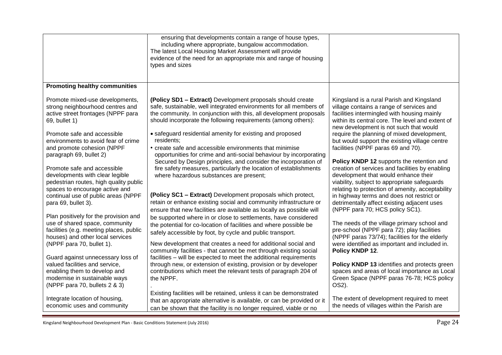|                                                                                                                                                                                     | ensuring that developments contain a range of house types,<br>including where appropriate, bungalow accommodation.<br>The latest Local Housing Market Assessment will provide<br>evidence of the need for an appropriate mix and range of housing<br>types and sizes                                                                   |                                                                                                                                                                                                                                                                                  |
|-------------------------------------------------------------------------------------------------------------------------------------------------------------------------------------|----------------------------------------------------------------------------------------------------------------------------------------------------------------------------------------------------------------------------------------------------------------------------------------------------------------------------------------|----------------------------------------------------------------------------------------------------------------------------------------------------------------------------------------------------------------------------------------------------------------------------------|
| <b>Promoting healthy communities</b>                                                                                                                                                |                                                                                                                                                                                                                                                                                                                                        |                                                                                                                                                                                                                                                                                  |
| Promote mixed-use developments,<br>strong neighbourhood centres and<br>active street frontages (NPPF para<br>69, bullet 1)<br>Promote safe and accessible                           | (Policy SD1 - Extract) Development proposals should create<br>safe, sustainable, well integrated environments for all members of<br>the community. In conjunction with this, all development proposals<br>should incorporate the following requirements (among others):<br>• safeguard residential amenity for existing and proposed   | Kingsland is a rural Parish and Kingsland<br>village contains a range of services and<br>facilities intermingled with housing mainly<br>within its central core. The level and extent of<br>new development is not such that would<br>require the planning of mixed development, |
| environments to avoid fear of crime<br>and promote cohesion (NPPF<br>paragraph 69, bullet 2)                                                                                        | residents;<br>• create safe and accessible environments that minimise<br>opportunities for crime and anti-social behaviour by incorporating                                                                                                                                                                                            | but would support the existing village centre<br>facilities (NPPF paras 69 and 70).                                                                                                                                                                                              |
| Promote safe and accessible<br>developments with clear legible<br>pedestrian routes, high quality public<br>spaces to encourage active and                                          | Secured by Design principles, and consider the incorporation of<br>fire safety measures, particularly the location of establishments<br>where hazardous substances are present;                                                                                                                                                        | Policy KNDP 12 supports the retention and<br>creation of services and facilities by enabling<br>development that would enhance their<br>viability, subject to appropriate safeguards<br>relating to protection of amenity, acceptability                                         |
| continual use of public areas (NPPF<br>para 69, bullet 3).                                                                                                                          | (Policy SC1 - Extract) Development proposals which protect,<br>retain or enhance existing social and community infrastructure or<br>ensure that new facilities are available as locally as possible will                                                                                                                               | in highway terms and does not restrict or<br>detrimentally affect existing adjacent uses<br>(NPPF para 70; HCS policy SC1).                                                                                                                                                      |
| Plan positively for the provision and<br>use of shared space, community<br>facilities (e.g. meeting places, public<br>houses) and other local services<br>(NPPF para 70, bullet 1). | be supported where in or close to settlements, have considered<br>the potential for co-location of facilities and where possible be<br>safely accessible by foot, by cycle and public transport.<br>New development that creates a need for additional social and<br>community facilities - that cannot be met through existing social | The needs of the village primary school and<br>pre-school (NPPF para 72); play facilities<br>(NPPF paras 73/74); facilities for the elderly<br>were identified as important and included in.<br>Policy KNDP 12.                                                                  |
| Guard against unnecessary loss of<br>valued facilities and service,<br>enabling them to develop and<br>modernise in sustainable ways<br>(NPPF para 70, bullets 2 & 3)               | facilities - will be expected to meet the additional requirements<br>through new, or extension of existing, provision or by developer<br>contributions which meet the relevant tests of paragraph 204 of<br>the NPPF.                                                                                                                  | Policy KNDP 13 identifies and protects green<br>spaces and areas of local importance as Local<br>Green Space (NPPF paras 76-78; HCS policy<br>OS2).                                                                                                                              |
| Integrate location of housing,<br>economic uses and community                                                                                                                       | Existing facilities will be retained, unless it can be demonstrated<br>that an appropriate alternative is available, or can be provided or it<br>can be shown that the facility is no longer required, viable or no                                                                                                                    | The extent of development required to meet<br>the needs of villages within the Parish are                                                                                                                                                                                        |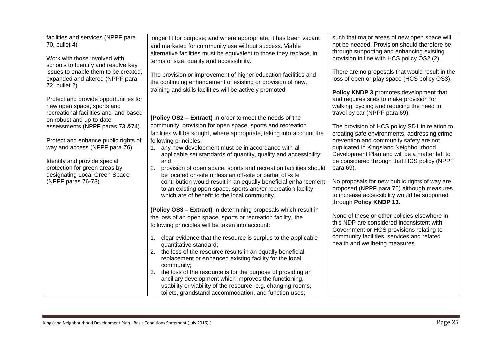| facilities and services (NPPF para<br>70, bullet 4)<br>Work with those involved with<br>schools to Identify and resolve key               | longer fit for purpose; and where appropriate, it has been vacant<br>and marketed for community use without success. Viable<br>alternative facilities must be equivalent to those they replace, in<br>terms of size, quality and accessibility.                                                                           | such that major areas of new open space will<br>not be needed. Provision should therefore be<br>through supporting and enhancing existing<br>provision in line with HCS policy OS2 (2). |
|-------------------------------------------------------------------------------------------------------------------------------------------|---------------------------------------------------------------------------------------------------------------------------------------------------------------------------------------------------------------------------------------------------------------------------------------------------------------------------|-----------------------------------------------------------------------------------------------------------------------------------------------------------------------------------------|
| issues to enable them to be created,<br>expanded and altered (NPPF para<br>72, bullet 2).                                                 | The provision or improvement of higher education facilities and<br>the continuing enhancement of existing or provision of new,<br>training and skills facilities will be actively promoted.                                                                                                                               | There are no proposals that would result in the<br>loss of open or play space (HCS policy OS3).<br>Policy KNDP 3 promotes development that                                              |
| Protect and provide opportunities for<br>new open space, sports and<br>recreational facilities and land based<br>on robust and up-to-date | (Policy OS2 - Extract) In order to meet the needs of the                                                                                                                                                                                                                                                                  | and requires sites to make provision for<br>walking, cycling and reducing the need to<br>travel by car (NPPF para 69).                                                                  |
| assessments (NPPF paras 73 &74).<br>Protect and enhance public rights of<br>way and access (NPPF para 76).                                | community, provision for open space, sports and recreation<br>facilities will be sought, where appropriate, taking into account the<br>following principles:<br>any new development must be in accordance with all<br>1.                                                                                                  | The provision of HCS policy SD1 in relation to<br>creating safe environments, addressing crime<br>prevention and community safety are not<br>duplicated in Kingsland Neighbourhood      |
| Identify and provide special<br>protection for green areas by                                                                             | applicable set standards of quantity, quality and accessibility;<br>and<br>2.<br>provision of open space, sports and recreation facilities should                                                                                                                                                                         | Development Plan and will be a matter left to<br>be considered through that HCS policy (NPPF<br>para 69).                                                                               |
| designating Local Green Space<br>(NPPF paras 76-78).                                                                                      | be located on-site unless an off-site or partial off-site<br>contribution would result in an equally beneficial enhancement<br>to an existing open space, sports and/or recreation facility<br>which are of benefit to the local community.                                                                               | No proposals for new public rights of way are<br>proposed (NPPF para 76) although measures<br>to increase accessibility would be supported<br>through Policy KNDP 13.                   |
|                                                                                                                                           | (Policy OS3 - Extract) In determining proposals which result in<br>the loss of an open space, sports or recreation facility, the<br>following principles will be taken into account:                                                                                                                                      | None of these or other policies elsewhere in<br>this NDP are considered inconsistent with<br>Government or HCS provisions relating to                                                   |
|                                                                                                                                           | 1. clear evidence that the resource is surplus to the applicable<br>quantitative standard;<br>2. the loss of the resource results in an equally beneficial                                                                                                                                                                | community facilities, services and related<br>health and wellbeing measures.                                                                                                            |
|                                                                                                                                           | replacement or enhanced existing facility for the local<br>community;<br>3. the loss of the resource is for the purpose of providing an<br>ancillary development which improves the functioning,<br>usability or viability of the resource, e.g. changing rooms,<br>toilets, grandstand accommodation, and function uses; |                                                                                                                                                                                         |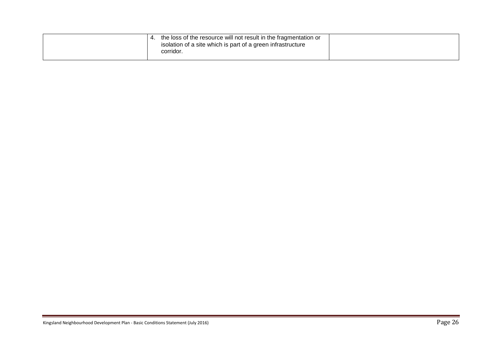|--|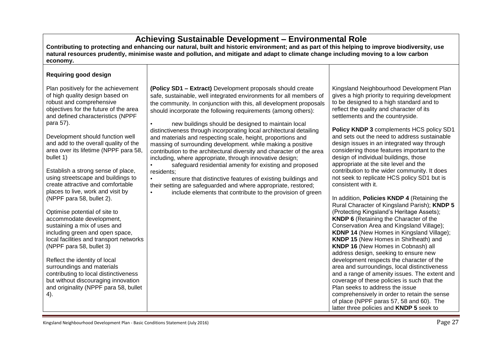### **Achieving Sustainable Development – Environmental Role**

 **natural resources prudently, minimise waste and pollution, and mitigate and adapt to climate change including moving to a low carbon Contributing to protecting and enhancing our natural, built and historic environment; and as part of this helping to improve biodiversity, use economy.** 

#### **Requiring good design**

 of high quality design based on and defined characteristics (NPPF Plan positively for the achievement robust and comprehensive objectives for the future of the area para 57).

 Development should function well and add to the overall quality of the area over its lifetime (NPPF para 58, bullet 1)

Establish a strong sense of place, using streetscape and buildings to create attractive and comfortable places to live, work and visit by (NPPF para 58, bullet 2).

 Optimise potential of site to accommodate development, sustaining a mix of uses and including green and open space, local facilities and transport networks (NPPF para 58, bullet 3)

Reflect the identity of local surroundings and materials contributing to local distinctiveness but without discouraging innovation and originality (NPPF para 58, bullet 4).

 **(Policy SD1 – Extract)** Development proposals should create safe, sustainable, well integrated environments for all members of the community. In conjunction with this, all development proposals should incorporate the following requirements (among others):

 including, where appropriate, through innovative design; • new buildings should be designed to maintain local distinctiveness through incorporating local architectural detailing and materials and respecting scale, height, proportions and massing of surrounding development. while making a positive contribution to the architectural diversity and character of the area

safeguard residential amenity for existing and proposed residents;

• ensure that distinctive features of existing buildings and their setting are safeguarded and where appropriate, restored;

• include elements that contribute to the provision of green

Kingsland Neighbourhood Development Plan gives a high priority to requiring development to be designed to a high standard and to reflect the quality and character of its settlements and the countryside.

 **Policy KNDP 3** complements HCS policy SD1 and sets out the need to address sustainable not seek to replicate HCS policy SD1 but is design issues in an integrated way through considering those features important to the design of individual buildings, those appropriate at the site level and the contribution to the wider community. It does consistent with it.

 Conservation Area and Kingsland Village); of place (NPPF paras 57, 58 and 60). The latter three policies and **KNDP 5** seek to In addition, **Policies KNDP 4** (Retaining the Rural Character of Kingsland Parish); **KNDP 5**  (Protecting Kingsland's Heritage Assets); **KNDP 6** (Retaining the Character of the **KDNP 14** (New Homes in Kingsland Village); **KNDP 15** (New Homes in Shirlheath) and **KNDP 16** (New Homes in Cobnash) all address design, seeking to ensure new development respects the character of the area and surroundings, local distinctiveness and a range of amenity issues. The extent and coverage of these policies is such that the Plan seeks to address the issue comprehensively in order to retain the sense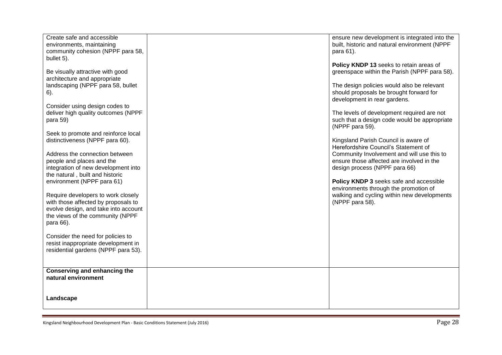| Create safe and accessible<br>environments, maintaining<br>community cohesion (NPPF para 58,<br>bullet 5).                            | ensure new development is integrated into the<br>built, historic and natural environment (NPPF<br>para 61).<br>Policy KNDP 13 seeks to retain areas of                |
|---------------------------------------------------------------------------------------------------------------------------------------|-----------------------------------------------------------------------------------------------------------------------------------------------------------------------|
| Be visually attractive with good<br>architecture and appropriate<br>landscaping (NPPF para 58, bullet<br>6).                          | greenspace within the Parish (NPPF para 58).<br>The design policies would also be relevant<br>should proposals be brought forward for<br>development in rear gardens. |
| Consider using design codes to<br>deliver high quality outcomes (NPPF<br>para 59)                                                     | The levels of development required are not<br>such that a design code would be appropriate<br>(NPPF para 59).                                                         |
| Seek to promote and reinforce local<br>distinctiveness (NPPF para 60).                                                                | Kingsland Parish Council is aware of<br>Herefordshire Council's Statement of                                                                                          |
| Address the connection between<br>people and places and the<br>integration of new development into<br>the natural, built and historic | Community Involvement and will use this to<br>ensure those affected are involved in the<br>design process (NPPF para 66)                                              |
| environment (NPPF para 61)<br>Require developers to work closely                                                                      | Policy KNDP 3 seeks safe and accessible<br>environments through the promotion of<br>walking and cycling within new developments                                       |
| with those affected by proposals to<br>evolve design, and take into account<br>the views of the community (NPPF<br>para 66).          | (NPPF para 58).                                                                                                                                                       |
| Consider the need for policies to<br>resist inappropriate development in<br>residential gardens (NPPF para 53).                       |                                                                                                                                                                       |
| Conserving and enhancing the<br>natural environment                                                                                   |                                                                                                                                                                       |
| Landscape                                                                                                                             |                                                                                                                                                                       |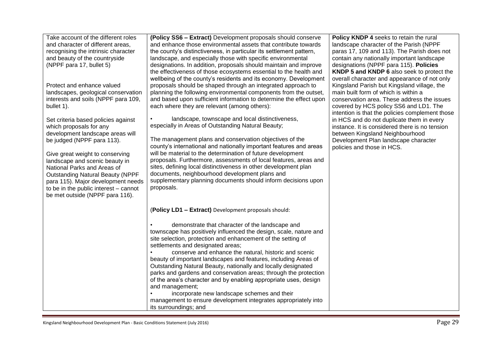| Take account of the different roles     | (Policy SS6 - Extract) Development proposals should conserve        | Policy KNDP 4 seeks to retain the rural         |
|-----------------------------------------|---------------------------------------------------------------------|-------------------------------------------------|
| and character of different areas,       | and enhance those environmental assets that contribute towards      | landscape character of the Parish (NPPF         |
| recognising the intrinsic character     | the county's distinctiveness, in particular its settlement pattern, | paras 17, 109 and 113). The Parish does not     |
| and beauty of the countryside           | landscape, and especially those with specific environmental         | contain any nationally important landscape      |
| (NPPF para 17, bullet 5)                | designations. In addition, proposals should maintain and improve    | designations (NPPF para 115). Policies          |
|                                         | the effectiveness of those ecosystems essential to the health and   | KNDP 5 and KNDP 6 also seek to protect the      |
|                                         | wellbeing of the county's residents and its economy. Development    | overall character and appearance of not only    |
| Protect and enhance valued              | proposals should be shaped through an integrated approach to        | Kingsland Parish but Kingsland village, the     |
| landscapes, geological conservation     | planning the following environmental components from the outset,    | main built form of which is within a            |
| interests and soils (NPPF para 109,     | and based upon sufficient information to determine the effect upon  | conservation area. These address the issues     |
| bullet 1).                              | each where they are relevant (among others):                        | covered by HCS policy SS6 and LD1. The          |
|                                         |                                                                     | intention is that the policies complement those |
| Set criteria based policies against     | landscape, townscape and local distinctiveness,                     | in HCS and do not duplicate them in every       |
| which proposals for any                 | especially in Areas of Outstanding Natural Beauty;                  | instance. It is considered there is no tension  |
| development landscape areas will        |                                                                     | between Kingsland Neighbourhood                 |
| be judged (NPPF para 113).              | The management plans and conservation objectives of the             | Development Plan landscape character            |
|                                         | county's international and nationally important features and areas  | policies and those in HCS.                      |
| Give great weight to conserving         | will be material to the determination of future development         |                                                 |
| landscape and scenic beauty in          | proposals. Furthermore, assessments of local features, areas and    |                                                 |
| National Parks and Areas of             | sites, defining local distinctiveness in other development plan     |                                                 |
| <b>Outstanding Natural Beauty (NPPF</b> | documents, neighbourhood development plans and                      |                                                 |
| para 115). Major development needs      | supplementary planning documents should inform decisions upon       |                                                 |
| to be in the public interest - cannot   | proposals.                                                          |                                                 |
| be met outside (NPPF para 116).         |                                                                     |                                                 |
|                                         |                                                                     |                                                 |
|                                         | (Policy LD1 - Extract) Development proposals should:                |                                                 |
|                                         |                                                                     |                                                 |
|                                         | demonstrate that character of the landscape and                     |                                                 |
|                                         | townscape has positively influenced the design, scale, nature and   |                                                 |
|                                         | site selection, protection and enhancement of the setting of        |                                                 |
|                                         | settlements and designated areas;                                   |                                                 |
|                                         | conserve and enhance the natural, historic and scenic               |                                                 |
|                                         | beauty of important landscapes and features, including Areas of     |                                                 |
|                                         | Outstanding Natural Beauty, nationally and locally designated       |                                                 |
|                                         | parks and gardens and conservation areas; through the protection    |                                                 |
|                                         | of the area's character and by enabling appropriate uses, design    |                                                 |
|                                         | and management;                                                     |                                                 |
|                                         | incorporate new landscape schemes and their                         |                                                 |
|                                         | management to ensure development integrates appropriately into      |                                                 |
|                                         | its surroundings; and                                               |                                                 |
|                                         |                                                                     |                                                 |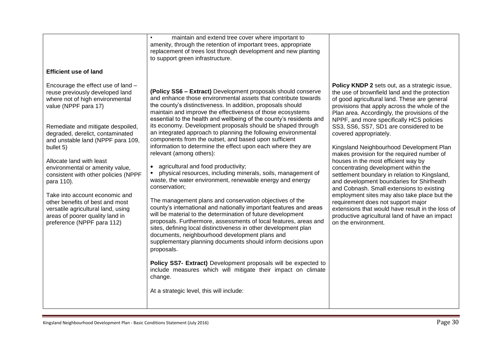|                                                                                                                                                                                                                                                                                                                                                                                                                                                                                                                                                                                              | maintain and extend tree cover where important to<br>amenity, through the retention of important trees, appropriate<br>replacement of trees lost through development and new planting<br>to support green infrastructure.                                                                                                                                                                                                                                                                                                                                                                                                                                                                                                                                                                                                                                                                                                                                                                                                                                                                                                                                                                                                                                                                                                                                                                                                                                                                   |                                                                                                                                                                                                                                                                                                                                                                                                                                                                                                                                                                                                                                                                                                                                                                                                                                                                                                          |
|----------------------------------------------------------------------------------------------------------------------------------------------------------------------------------------------------------------------------------------------------------------------------------------------------------------------------------------------------------------------------------------------------------------------------------------------------------------------------------------------------------------------------------------------------------------------------------------------|---------------------------------------------------------------------------------------------------------------------------------------------------------------------------------------------------------------------------------------------------------------------------------------------------------------------------------------------------------------------------------------------------------------------------------------------------------------------------------------------------------------------------------------------------------------------------------------------------------------------------------------------------------------------------------------------------------------------------------------------------------------------------------------------------------------------------------------------------------------------------------------------------------------------------------------------------------------------------------------------------------------------------------------------------------------------------------------------------------------------------------------------------------------------------------------------------------------------------------------------------------------------------------------------------------------------------------------------------------------------------------------------------------------------------------------------------------------------------------------------|----------------------------------------------------------------------------------------------------------------------------------------------------------------------------------------------------------------------------------------------------------------------------------------------------------------------------------------------------------------------------------------------------------------------------------------------------------------------------------------------------------------------------------------------------------------------------------------------------------------------------------------------------------------------------------------------------------------------------------------------------------------------------------------------------------------------------------------------------------------------------------------------------------|
| <b>Efficient use of land</b><br>Encourage the effect use of land -<br>reuse previously developed land<br>where not of high environmental<br>value (NPPF para 17)<br>Remediate and mitigate despoiled,<br>degraded, derelict, contaminated<br>and unstable land (NPPF para 109,<br>bullet 5)<br>Allocate land with least<br>environmental or amenity value,<br>consistent with other policies (NPPF<br>para 110).<br>Take into account economic and<br>other benefits of best and most<br>versatile agricultural land, using<br>areas of poorer quality land in<br>preference (NPPF para 112) | (Policy SS6 - Extract) Development proposals should conserve<br>and enhance those environmental assets that contribute towards<br>the county's distinctiveness. In addition, proposals should<br>maintain and improve the effectiveness of those ecosystems<br>essential to the health and wellbeing of the county's residents and<br>its economy. Development proposals should be shaped through<br>an integrated approach to planning the following environmental<br>components from the outset, and based upon sufficient<br>information to determine the effect upon each where they are<br>relevant (among others):<br>agricultural and food productivity;<br>$\bullet$<br>physical resources, including minerals, soils, management of<br>waste, the water environment, renewable energy and energy<br>conservation;<br>The management plans and conservation objectives of the<br>county's international and nationally important features and areas<br>will be material to the determination of future development<br>proposals. Furthermore, assessments of local features, areas and<br>sites, defining local distinctiveness in other development plan<br>documents, neighbourhood development plans and<br>supplementary planning documents should inform decisions upon<br>proposals.<br>Policy SS7- Extract) Development proposals will be expected to<br>include measures which will mitigate their impact on climate<br>change.<br>At a strategic level, this will include: | Policy KNDP 2 sets out, as a strategic issue,<br>the use of brownfield land and the protection<br>of good agricultural land. These are general<br>provisions that apply across the whole of the<br>Plan area. Accordingly, the provisions of the<br>NPPF, and more specifically HCS policies<br>SS3, SS6, SS7, SD1 are considered to be<br>covered appropriately.<br>Kingsland Neighbourhood Development Plan<br>makes provision for the required number of<br>houses in the most efficient way by<br>concentrating development within the<br>settlement boundary in relation to Kingsland,<br>and development boundaries for Shirlheath<br>and Cobnash. Small extensions to existing<br>employment sites may also take place but the<br>requirement does not support major<br>extensions that would have result in the loss of<br>productive agricultural land of have an impact<br>on the environment. |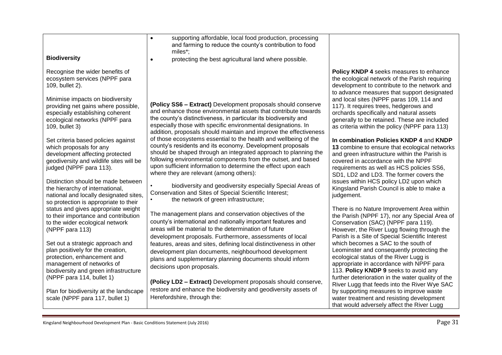| <b>Biodiversity</b>                                                                                                                                                                                                                                                                                                                                                                                                                                                                                                                                  | supporting affordable, local food production, processing<br>$\bullet$<br>and farming to reduce the county's contribution to food<br>miles*:<br>protecting the best agricultural land where possible.<br>$\bullet$                                                                                                                                                                                                                                                                                                                                                                                                                                                                                                                                                                                                                                                                        |                                                                                                                                                                                                                                                                                                                                                                                                                                                                                                                                                                                                                                                                                                                                                                                                                |
|------------------------------------------------------------------------------------------------------------------------------------------------------------------------------------------------------------------------------------------------------------------------------------------------------------------------------------------------------------------------------------------------------------------------------------------------------------------------------------------------------------------------------------------------------|------------------------------------------------------------------------------------------------------------------------------------------------------------------------------------------------------------------------------------------------------------------------------------------------------------------------------------------------------------------------------------------------------------------------------------------------------------------------------------------------------------------------------------------------------------------------------------------------------------------------------------------------------------------------------------------------------------------------------------------------------------------------------------------------------------------------------------------------------------------------------------------|----------------------------------------------------------------------------------------------------------------------------------------------------------------------------------------------------------------------------------------------------------------------------------------------------------------------------------------------------------------------------------------------------------------------------------------------------------------------------------------------------------------------------------------------------------------------------------------------------------------------------------------------------------------------------------------------------------------------------------------------------------------------------------------------------------------|
| Recognise the wider benefits of<br>ecosystem services (NPPF para<br>109, bullet 2).<br>Minimise impacts on biodiversity<br>providing net gains where possible,<br>especially establishing coherent<br>ecological networks (NPPF para<br>109, bullet 3)<br>Set criteria based policies against<br>which proposals for any<br>development affecting protected<br>geodiversity and wildlife sites will be<br>judged (NPPF para 113).<br>Distinction should be made between<br>the hierarchy of international,<br>national and locally designated sites, | (Policy SS6 - Extract) Development proposals should conserve<br>and enhance those environmental assets that contribute towards<br>the county's distinctiveness, in particular its biodiversity and<br>especially those with specific environmental designations. In<br>addition, proposals should maintain and improve the effectiveness<br>of those ecosystems essential to the health and wellbeing of the<br>county's residents and its economy. Development proposals<br>should be shaped through an integrated approach to planning the<br>following environmental components from the outset, and based<br>upon sufficient information to determine the effect upon each<br>where they are relevant (among others):<br>biodiversity and geodiversity especially Special Areas of<br>Conservation and Sites of Special Scientific Interest;<br>the network of green infrastructure; | Policy KNDP 4 seeks measures to enhance<br>the ecological network of the Parish requiring<br>development to contribute to the network and<br>to advance measures that support designated<br>and local sites (NPPF paras 109, 114 and<br>117). It requires trees, hedgerows and<br>orchards specifically and natural assets<br>generally to be retained. These are included<br>as criteria within the policy (NPPF para 113)<br>In combination Policies KNDP 4 and KNDP<br>13 combine to ensure that ecological networks<br>and green infrastructure within the Parish is<br>covered in accordance with the NPPF<br>requirements as well as HCS policies SS6,<br>SD1, LD2 and LD3. The former covers the<br>issues within HCS policy LD2 upon which<br>Kingsland Parish Council is able to make a<br>judgement. |
| so protection is appropriate to their<br>status and gives appropriate weight<br>to their importance and contribution<br>to the wider ecological network<br>(NPPF para 113)<br>Set out a strategic approach and<br>plan positively for the creation,<br>protection, enhancement and<br>management of networks of<br>biodiversity and green infrastructure<br>(NPPF para 114, bullet 1)<br>Plan for biodiversity at the landscape<br>scale (NPPF para 117, bullet 1)                                                                                   | The management plans and conservation objectives of the<br>county's international and nationally important features and<br>areas will be material to the determination of future<br>development proposals. Furthermore, assessments of local<br>features, areas and sites, defining local distinctiveness in other<br>development plan documents, neighbourhood development<br>plans and supplementary planning documents should inform<br>decisions upon proposals.<br>(Policy LD2 - Extract) Development proposals should conserve,<br>restore and enhance the biodiversity and geodiversity assets of<br>Herefordshire, through the:                                                                                                                                                                                                                                                  | There is no Nature Improvement Area within<br>the Parish (NPPF 17), nor any Special Area of<br>Conservation (SAC) (NPPF para 119).<br>However, the River Lugg flowing through the<br>Parish is a Site of Special Scientific Interest<br>which becomes a SAC to the south of<br>Leominster and consequently protecting the<br>ecological status of the River Lugg is<br>appropriate in accordance with NPPF para<br>113. Policy KNDP 9 seeks to avoid any<br>further deterioration in the water quality of the<br>River Lugg that feeds into the River Wye SAC<br>by supporting measures to improve waste<br>water treatment and resisting development<br>that would adversely affect the River Lugg                                                                                                            |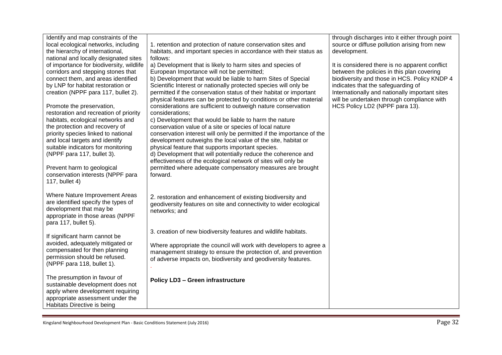| Identify and map constraints of the                            |                                                                       | through discharges into it either through point |
|----------------------------------------------------------------|-----------------------------------------------------------------------|-------------------------------------------------|
| local ecological networks, including                           | 1. retention and protection of nature conservation sites and          | source or diffuse pollution arising from new    |
| the hierarchy of international,                                | habitats, and important species in accordance with their status as    | development.                                    |
| national and locally designated sites                          | follows:                                                              |                                                 |
| of importance for biodiversity, wildlife                       | a) Development that is likely to harm sites and species of            | It is considered there is no apparent conflict  |
| corridors and stepping stones that                             | European Importance will not be permitted;                            | between the policies in this plan covering      |
| connect them, and areas identified                             | b) Development that would be liable to harm Sites of Special          | biodiversity and those in HCS. Policy KNDP 4    |
| by LNP for habitat restoration or                              | Scientific Interest or nationally protected species will only be      | indicates that the safeguarding of              |
| creation (NPPF para 117, bullet 2).                            | permitted if the conservation status of their habitat or important    | Internationally and nationally important sites  |
|                                                                | physical features can be protected by conditions or other material    | will be undertaken through compliance with      |
| Promote the preservation,                                      | considerations are sufficient to outweigh nature conservation         | HCS Policy LD2 (NPPF para 13).                  |
| restoration and recreation of priority                         | considerations;                                                       |                                                 |
| habitats, ecological networks and                              | c) Development that would be liable to harm the nature                |                                                 |
| the protection and recovery of                                 | conservation value of a site or species of local nature               |                                                 |
| priority species linked to national                            | conservation interest will only be permitted if the importance of the |                                                 |
| and local targets and identify                                 | development outweighs the local value of the site, habitat or         |                                                 |
| suitable indicators for monitoring                             | physical feature that supports important species.                     |                                                 |
| (NPPF para 117, bullet 3).                                     | d) Development that will potentially reduce the coherence and         |                                                 |
|                                                                | effectiveness of the ecological network of sites will only be         |                                                 |
| Prevent harm to geological                                     | permitted where adequate compensatory measures are brought            |                                                 |
| conservation interests (NPPF para                              | forward.                                                              |                                                 |
| 117, bullet 4)                                                 |                                                                       |                                                 |
|                                                                |                                                                       |                                                 |
| Where Nature Improvement Areas                                 | 2. restoration and enhancement of existing biodiversity and           |                                                 |
| are identified specify the types of<br>development that may be | geodiversity features on site and connectivity to wider ecological    |                                                 |
| appropriate in those areas (NPPF                               | networks; and                                                         |                                                 |
| para 117, bullet 5).                                           |                                                                       |                                                 |
|                                                                |                                                                       |                                                 |
| If significant harm cannot be                                  | 3. creation of new biodiversity features and wildlife habitats.       |                                                 |
| avoided, adequately mitigated or                               |                                                                       |                                                 |
| compensated for then planning                                  | Where appropriate the council will work with developers to agree a    |                                                 |
| permission should be refused.                                  | management strategy to ensure the protection of, and prevention       |                                                 |
| (NPPF para 118, bullet 1).                                     | of adverse impacts on, biodiversity and geodiversity features.        |                                                 |
|                                                                |                                                                       |                                                 |
| The presumption in favour of                                   | <b>Policy LD3 - Green infrastructure</b>                              |                                                 |
| sustainable development does not                               |                                                                       |                                                 |
| apply where development requiring                              |                                                                       |                                                 |
| appropriate assessment under the                               |                                                                       |                                                 |
| Habitats Directive is being                                    |                                                                       |                                                 |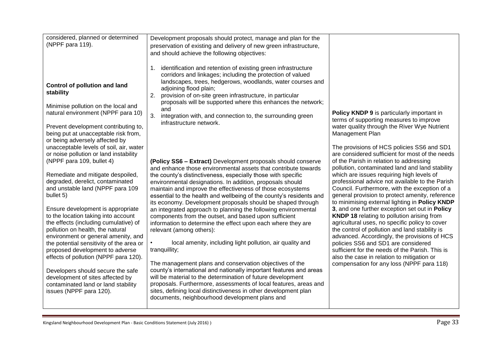| considered, planned or determined<br>(NPPF para 119).                                                                                                                                                                                                                                                                                                                                                                                                                                                                                                                                                                                                                                                       | Development proposals should protect, manage and plan for the<br>preservation of existing and delivery of new green infrastructure,<br>and should achieve the following objectives:                                                                                                                                                                                                                                                                                                                                                                                                                                                                                                                                                                                                                                                                                                                                                                                                                                                                                                                                                                           |                                                                                                                                                                                                                                                                                                                                                                                                                                                                                                                                                                                                                                                                                                                                                                                                                                                                                            |
|-------------------------------------------------------------------------------------------------------------------------------------------------------------------------------------------------------------------------------------------------------------------------------------------------------------------------------------------------------------------------------------------------------------------------------------------------------------------------------------------------------------------------------------------------------------------------------------------------------------------------------------------------------------------------------------------------------------|---------------------------------------------------------------------------------------------------------------------------------------------------------------------------------------------------------------------------------------------------------------------------------------------------------------------------------------------------------------------------------------------------------------------------------------------------------------------------------------------------------------------------------------------------------------------------------------------------------------------------------------------------------------------------------------------------------------------------------------------------------------------------------------------------------------------------------------------------------------------------------------------------------------------------------------------------------------------------------------------------------------------------------------------------------------------------------------------------------------------------------------------------------------|--------------------------------------------------------------------------------------------------------------------------------------------------------------------------------------------------------------------------------------------------------------------------------------------------------------------------------------------------------------------------------------------------------------------------------------------------------------------------------------------------------------------------------------------------------------------------------------------------------------------------------------------------------------------------------------------------------------------------------------------------------------------------------------------------------------------------------------------------------------------------------------------|
| <b>Control of pollution and land</b><br>stability<br>Minimise pollution on the local and<br>natural environment (NPPF para 10)<br>Prevent development contributing to,<br>being put at unacceptable risk from,<br>or being adversely affected by                                                                                                                                                                                                                                                                                                                                                                                                                                                            | identification and retention of existing green infrastructure<br>1.<br>corridors and linkages; including the protection of valued<br>landscapes, trees, hedgerows, woodlands, water courses and<br>adjoining flood plain;<br>provision of on-site green infrastructure, in particular<br>2.<br>proposals will be supported where this enhances the network;<br>and<br>3.<br>integration with, and connection to, the surrounding green<br>infrastructure network.                                                                                                                                                                                                                                                                                                                                                                                                                                                                                                                                                                                                                                                                                             | Policy KNDP 9 is particularly important in<br>terms of supporting measures to improve<br>water quality through the River Wye Nutrient<br>Management Plan                                                                                                                                                                                                                                                                                                                                                                                                                                                                                                                                                                                                                                                                                                                                   |
| unacceptable levels of soil, air, water<br>or noise pollution or land instability<br>(NPPF para 109, bullet 4)<br>Remediate and mitigate despoiled,<br>degraded, derelict, contaminated<br>and unstable land (NPPF para 109<br>bullet 5)<br>Ensure development is appropriate<br>to the location taking into account<br>the effects (including cumulative) of<br>pollution on health, the natural<br>environment or general amenity, and<br>the potential sensitivity of the area or<br>proposed development to adverse<br>effects of pollution (NPPF para 120).<br>Developers should secure the safe<br>development of sites affected by<br>contaminated land or land stability<br>issues (NPPF para 120). | (Policy SS6 - Extract) Development proposals should conserve<br>and enhance those environmental assets that contribute towards<br>the county's distinctiveness, especially those with specific<br>environmental designations. In addition, proposals should<br>maintain and improve the effectiveness of those ecosystems<br>essential to the health and wellbeing of the county's residents and<br>its economy. Development proposals should be shaped through<br>an integrated approach to planning the following environmental<br>components from the outset, and based upon sufficient<br>information to determine the effect upon each where they are<br>relevant (among others):<br>local amenity, including light pollution, air quality and<br>tranquillity;<br>The management plans and conservation objectives of the<br>county's international and nationally important features and areas<br>will be material to the determination of future development<br>proposals. Furthermore, assessments of local features, areas and<br>sites, defining local distinctiveness in other development plan<br>documents, neighbourhood development plans and | The provisions of HCS policies SS6 and SD1<br>are considered sufficient for most of the needs<br>of the Parish in relation to addressing<br>pollution, contaminated land and land stability<br>which are issues requiring high levels of<br>professional advice not available to the Parish<br>Council. Furthermore, with the exception of a<br>general provision to protect amenity, reference<br>to minimising external lighting in Policy KNDP<br>3, and one further exception set out in Policy<br>KNDP 18 relating to pollution arising from<br>agricultural uses, no specific policy to cover<br>the control of pollution and land stability is<br>advanced. Accordingly, the provisions of HCS<br>policies SS6 and SD1 are considered<br>sufficient for the needs of the Parish. This is<br>also the case in relation to mitigation or<br>compensation for any loss (NPPF para 118) |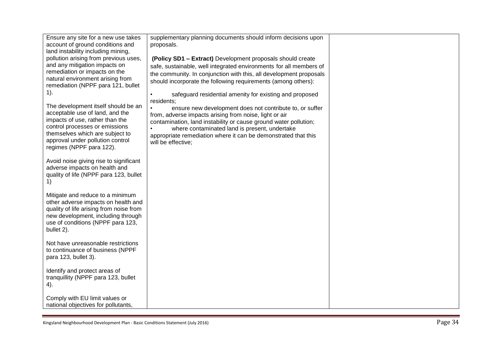| Ensure any site for a new use takes                                           | supplementary planning documents should inform decisions upon      |  |
|-------------------------------------------------------------------------------|--------------------------------------------------------------------|--|
| account of ground conditions and                                              | proposals.                                                         |  |
| land instability including mining,                                            |                                                                    |  |
| pollution arising from previous uses,                                         | (Policy SD1 - Extract) Development proposals should create         |  |
| and any mitigation impacts on                                                 | safe, sustainable, well integrated environments for all members of |  |
| remediation or impacts on the                                                 | the community. In conjunction with this, all development proposals |  |
| natural environment arising from                                              | should incorporate the following requirements (among others):      |  |
| remediation (NPPF para 121, bullet                                            |                                                                    |  |
| $1$ ).                                                                        | safeguard residential amenity for existing and proposed            |  |
|                                                                               | residents;                                                         |  |
| The development itself should be an                                           | ensure new development does not contribute to, or suffer           |  |
| acceptable use of land, and the                                               | from, adverse impacts arising from noise, light or air             |  |
| impacts of use, rather than the                                               | contamination, land instability or cause ground water pollution;   |  |
| control processes or emissions                                                | where contaminated land is present, undertake                      |  |
| themselves which are subject to                                               | appropriate remediation where it can be demonstrated that this     |  |
| approval under pollution control                                              | will be effective;                                                 |  |
| regimes (NPPF para 122).                                                      |                                                                    |  |
|                                                                               |                                                                    |  |
| Avoid noise giving rise to significant                                        |                                                                    |  |
| adverse impacts on health and                                                 |                                                                    |  |
| quality of life (NPPF para 123, bullet                                        |                                                                    |  |
| 1)                                                                            |                                                                    |  |
|                                                                               |                                                                    |  |
| Mitigate and reduce to a minimum                                              |                                                                    |  |
| other adverse impacts on health and                                           |                                                                    |  |
| quality of life arising from noise from<br>new development, including through |                                                                    |  |
|                                                                               |                                                                    |  |
| use of conditions (NPPF para 123,<br>bullet 2).                               |                                                                    |  |
|                                                                               |                                                                    |  |
| Not have unreasonable restrictions                                            |                                                                    |  |
| to continuance of business (NPPF                                              |                                                                    |  |
| para 123, bullet 3).                                                          |                                                                    |  |
|                                                                               |                                                                    |  |
| Identify and protect areas of                                                 |                                                                    |  |
| tranquillity (NPPF para 123, bullet                                           |                                                                    |  |
| 4).                                                                           |                                                                    |  |
|                                                                               |                                                                    |  |
| Comply with EU limit values or                                                |                                                                    |  |
| national objectives for pollutants,                                           |                                                                    |  |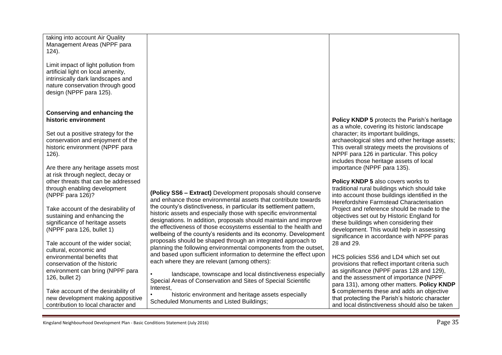taking into account Air Quality Management Areas (NPPF para 124).

Limit impact of light pollution from artificial light on local amenity, intrinsically dark landscapes and nature conservation through good design (NPPF para 125).

#### **historic environment Conserving and enhancing the**

Set out a positive strategy for the conservation and enjoyment of the historic environment (NPPF para 126).

 (NPPF para 126)? Are there any heritage assets most at risk through neglect, decay or other threats that can be addressed through enabling development

 sustaining and enhancing the Take account of the desirability of significance of heritage assets (NPPF para 126, bullet 1)

126, bullet 2) Tale account of the wider social; cultural, economic and environmental benefits that conservation of the historic environment can bring (NPPF para

Take account of the desirability of new development making appositive contribution to local character and

 **(Policy SS6 – Extract)** Development proposals should conserve proposals should be shaped through an integrated approach to and enhance those environmental assets that contribute towards the county's distinctiveness, in particular its settlement pattern, historic assets and especially those with specific environmental designations. In addition, proposals should maintain and improve the effectiveness of those ecosystems essential to the health and wellbeing of the county's residents and its economy. Development planning the following environmental components from the outset, and based upon sufficient information to determine the effect upon each where they are relevant (among others):

 • landscape, townscape and local distinctiveness especially Special Areas of Conservation and Sites of Special Scientific Interest,

 • historic environment and heritage assets especially Scheduled Monuments and Listed Buildings;

 **Policy KNDP 5** protects the Parish's heritage archaeological sites and other heritage assets; NPPF para 126 in particular. This policy as a whole, covering its historic landscape character; its important buildings, This overall strategy meets the provisions of includes those heritage assets of local importance (NPPF para 135).

 **Policy KNDP 5** also covers works to traditional rural buildings which should take into account those buildings identified in the Herefordshire Farmstead Characterisation Project and reference should be made to the objectives set out by Historic England for these buildings when considering their development. This would help in assessing significance in accordance with NPPF paras 28 and 29.

 that protecting the Parish's historic character HCS policies SS6 and LD4 which set out provisions that reflect important criteria such as significance (NPPF paras 128 and 129), and the assessment of importance (NPPF para 131), among other matters. **Policy KNDP 5** complements these and adds an objective and local distinctiveness should also be taken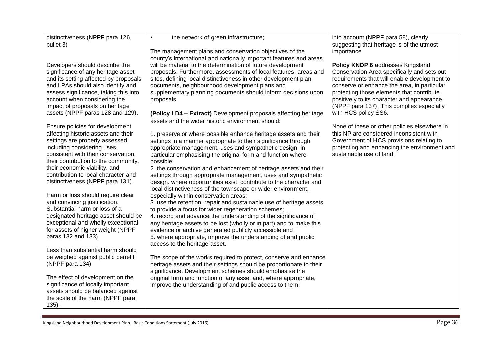| distinctiveness (NPPF para 126,       | the network of green infrastructure;<br>$\bullet$                   | into account (NPPF para 58), clearly         |
|---------------------------------------|---------------------------------------------------------------------|----------------------------------------------|
| bullet 3)                             |                                                                     | suggesting that heritage is of the utmost    |
|                                       | The management plans and conservation objectives of the             | importance                                   |
|                                       | county's international and nationally important features and areas  |                                              |
| Developers should describe the        | will be material to the determination of future development         | Policy KNDP 6 addresses Kingsland            |
| significance of any heritage asset    | proposals. Furthermore, assessments of local features, areas and    | Conservation Area specifically and sets out  |
| and its setting affected by proposals | sites, defining local distinctiveness in other development plan     | requirements that will enable development to |
| and LPAs should also identify and     | documents, neighbourhood development plans and                      | conserve or enhance the area, in particular  |
| assess significance, taking this into | supplementary planning documents should inform decisions upon       | protecting those elements that contribute    |
| account when considering the          | proposals.                                                          | positively to its character and appearance,  |
| impact of proposals on heritage       |                                                                     | (NPPF para 137). This complies especially    |
| assets (NPPF paras 128 and 129).      | (Policy LD4 - Extract) Development proposals affecting heritage     | with HCS policy SS6.                         |
|                                       | assets and the wider historic environment should:                   |                                              |
| Ensure policies for development       |                                                                     | None of these or other policies elsewhere in |
| affecting historic assets and their   | 1. preserve or where possible enhance heritage assets and their     | this NP are considered inconsistent with     |
| settings are properly assessed,       | settings in a manner appropriate to their significance through      | Government of HCS provisions relating to     |
| including considering uses            | appropriate management, uses and sympathetic design, in             | protecting and enhancing the environment and |
| consistent with their conservation,   | particular emphasising the original form and function where         | sustainable use of land.                     |
| their contribution to the community,  | possible;                                                           |                                              |
| their economic viability, and         | 2. the conservation and enhancement of heritage assets and their    |                                              |
| contribution to local character and   | settings through appropriate management, uses and sympathetic       |                                              |
| distinctiveness (NPPF para 131).      | design. where opportunities exist, contribute to the character and  |                                              |
|                                       | local distinctiveness of the townscape or wider environment,        |                                              |
| Harm or loss should require clear     | especially within conservation areas;                               |                                              |
| and convincing justification.         | 3. use the retention, repair and sustainable use of heritage assets |                                              |
| Substantial harm or loss of a         | to provide a focus for wider regeneration schemes;                  |                                              |
| designated heritage asset should be   | 4. record and advance the understanding of the significance of      |                                              |
| exceptional and wholly exceptional    | any heritage assets to be lost (wholly or in part) and to make this |                                              |
| for assets of higher weight (NPPF     | evidence or archive generated publicly accessible and               |                                              |
| paras 132 and 133).                   | 5. where appropriate, improve the understanding of and public       |                                              |
|                                       | access to the heritage asset.                                       |                                              |
| Less than substantial harm should     |                                                                     |                                              |
| be weighed against public benefit     | The scope of the works required to protect, conserve and enhance    |                                              |
| (NPPF para 134)                       | heritage assets and their settings should be proportionate to their |                                              |
|                                       | significance. Development schemes should emphasise the              |                                              |
| The effect of development on the      | original form and function of any asset and, where appropriate,     |                                              |
| significance of locally important     | improve the understanding of and public access to them.             |                                              |
| assets should be balanced against     |                                                                     |                                              |
| the scale of the harm (NPPF para      |                                                                     |                                              |
| $135$ ).                              |                                                                     |                                              |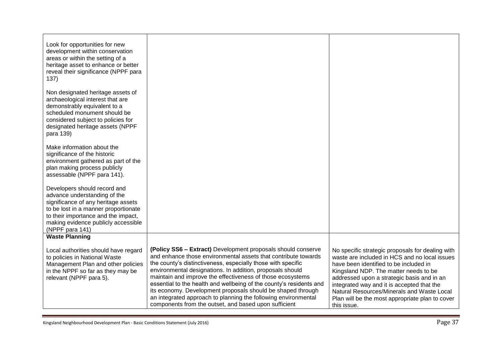| Look for opportunities for new<br>development within conservation<br>areas or within the setting of a<br>heritage asset to enhance or better<br>reveal their significance (NPPF para<br>137)                                                 |                                                                                                                                                                                                                                                                                                                                                                                                                                                                                                                                                                                            |                                                                                                                                                                                                                                                                                                                                                                                                  |
|----------------------------------------------------------------------------------------------------------------------------------------------------------------------------------------------------------------------------------------------|--------------------------------------------------------------------------------------------------------------------------------------------------------------------------------------------------------------------------------------------------------------------------------------------------------------------------------------------------------------------------------------------------------------------------------------------------------------------------------------------------------------------------------------------------------------------------------------------|--------------------------------------------------------------------------------------------------------------------------------------------------------------------------------------------------------------------------------------------------------------------------------------------------------------------------------------------------------------------------------------------------|
| Non designated heritage assets of<br>archaeological interest that are<br>demonstrably equivalent to a<br>scheduled monument should be<br>considered subject to policies for<br>designated heritage assets (NPPF<br>para 139)                 |                                                                                                                                                                                                                                                                                                                                                                                                                                                                                                                                                                                            |                                                                                                                                                                                                                                                                                                                                                                                                  |
| Make information about the<br>significance of the historic<br>environment gathered as part of the<br>plan making process publicly<br>assessable (NPPF para 141).                                                                             |                                                                                                                                                                                                                                                                                                                                                                                                                                                                                                                                                                                            |                                                                                                                                                                                                                                                                                                                                                                                                  |
| Developers should record and<br>advance understanding of the<br>significance of any heritage assets<br>to be lost in a manner proportionate<br>to their importance and the impact,<br>making evidence publicly accessible<br>(NPPF para 141) |                                                                                                                                                                                                                                                                                                                                                                                                                                                                                                                                                                                            |                                                                                                                                                                                                                                                                                                                                                                                                  |
| <b>Waste Planning</b>                                                                                                                                                                                                                        |                                                                                                                                                                                                                                                                                                                                                                                                                                                                                                                                                                                            |                                                                                                                                                                                                                                                                                                                                                                                                  |
| Local authorities should have regard<br>to policies in National Waste<br>Management Plan and other policies<br>in the NPPF so far as they may be<br>relevant (NPPF para 5).                                                                  | (Policy SS6 - Extract) Development proposals should conserve<br>and enhance those environmental assets that contribute towards<br>the county's distinctiveness, especially those with specific<br>environmental designations. In addition, proposals should<br>maintain and improve the effectiveness of those ecosystems<br>essential to the health and wellbeing of the county's residents and<br>its economy. Development proposals should be shaped through<br>an integrated approach to planning the following environmental<br>components from the outset, and based upon sufficient | No specific strategic proposals for dealing with<br>waste are included in HCS and no local issues<br>have been identified to be included in<br>Kingsland NDP. The matter needs to be<br>addressed upon a strategic basis and in an<br>integrated way and it is accepted that the<br>Natural Resources/Minerals and Waste Local<br>Plan will be the most appropriate plan to cover<br>this issue. |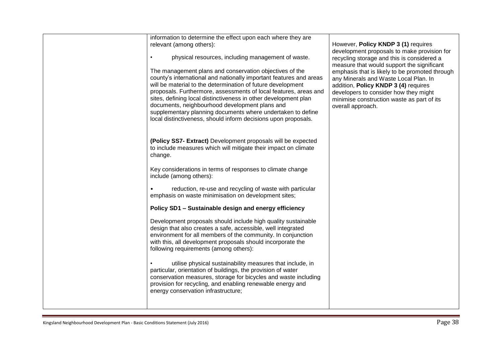| information to determine the effect upon each where they are<br>relevant (among others):<br>physical resources, including management of waste.<br>$\bullet$<br>The management plans and conservation objectives of the<br>county's international and nationally important features and areas<br>will be material to the determination of future development<br>proposals. Furthermore, assessments of local features, areas and<br>sites, defining local distinctiveness in other development plan<br>documents, neighbourhood development plans and<br>supplementary planning documents where undertaken to define<br>local distinctiveness, should inform decisions upon proposals. | However, Policy KNDP 3 (1) requires<br>development proposals to make provision for<br>recycling storage and this is considered a<br>measure that would support the significant<br>emphasis that is likely to be promoted through<br>any Minerals and Waste Local Plan. In<br>addition, Policy KNDP 3 (4) requires<br>developers to consider how they might<br>minimise construction waste as part of its<br>overall approach. |
|---------------------------------------------------------------------------------------------------------------------------------------------------------------------------------------------------------------------------------------------------------------------------------------------------------------------------------------------------------------------------------------------------------------------------------------------------------------------------------------------------------------------------------------------------------------------------------------------------------------------------------------------------------------------------------------|-------------------------------------------------------------------------------------------------------------------------------------------------------------------------------------------------------------------------------------------------------------------------------------------------------------------------------------------------------------------------------------------------------------------------------|
| (Policy SS7- Extract) Development proposals will be expected<br>to include measures which will mitigate their impact on climate<br>change.                                                                                                                                                                                                                                                                                                                                                                                                                                                                                                                                            |                                                                                                                                                                                                                                                                                                                                                                                                                               |
| Key considerations in terms of responses to climate change<br>include (among others):                                                                                                                                                                                                                                                                                                                                                                                                                                                                                                                                                                                                 |                                                                                                                                                                                                                                                                                                                                                                                                                               |
| reduction, re-use and recycling of waste with particular<br>emphasis on waste minimisation on development sites;                                                                                                                                                                                                                                                                                                                                                                                                                                                                                                                                                                      |                                                                                                                                                                                                                                                                                                                                                                                                                               |
| Policy SD1 - Sustainable design and energy efficiency                                                                                                                                                                                                                                                                                                                                                                                                                                                                                                                                                                                                                                 |                                                                                                                                                                                                                                                                                                                                                                                                                               |
| Development proposals should include high quality sustainable<br>design that also creates a safe, accessible, well integrated<br>environment for all members of the community. In conjunction<br>with this, all development proposals should incorporate the<br>following requirements (among others):                                                                                                                                                                                                                                                                                                                                                                                |                                                                                                                                                                                                                                                                                                                                                                                                                               |
| utilise physical sustainability measures that include, in<br>particular, orientation of buildings, the provision of water<br>conservation measures, storage for bicycles and waste including<br>provision for recycling, and enabling renewable energy and<br>energy conservation infrastructure;                                                                                                                                                                                                                                                                                                                                                                                     |                                                                                                                                                                                                                                                                                                                                                                                                                               |
|                                                                                                                                                                                                                                                                                                                                                                                                                                                                                                                                                                                                                                                                                       |                                                                                                                                                                                                                                                                                                                                                                                                                               |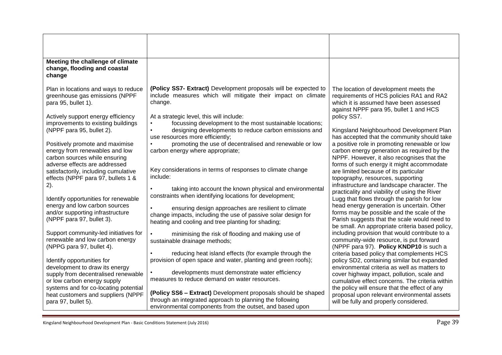| Meeting the challenge of climate<br>change, flooding and coastal<br>change                                                                                            |                                                                                                                                                                                                                                                     |                                                                                                                                                                                                                                           |
|-----------------------------------------------------------------------------------------------------------------------------------------------------------------------|-----------------------------------------------------------------------------------------------------------------------------------------------------------------------------------------------------------------------------------------------------|-------------------------------------------------------------------------------------------------------------------------------------------------------------------------------------------------------------------------------------------|
| Plan in locations and ways to reduce<br>greenhouse gas emissions (NPPF<br>para 95, bullet 1).<br>Actively support energy efficiency                                   | (Policy SS7- Extract) Development proposals will be expected to<br>include measures which will mitigate their impact on climate<br>change.<br>At a strategic level, this will include:                                                              | The location of development meets the<br>requirements of HCS policies RA1 and RA2<br>which it is assumed have been assessed<br>against NPPF para 95, bullet 1 and HCS<br>policy SS7.                                                      |
| improvements to existing buildings<br>(NPPF para 95, bullet 2).<br>Positively promote and maximise<br>energy from renewables and low<br>carbon sources while ensuring | focussing development to the most sustainable locations;<br>designing developments to reduce carbon emissions and<br>use resources more efficiently;<br>promoting the use of decentralised and renewable or low<br>carbon energy where appropriate; | Kingsland Neighbourhood Development Plan<br>has accepted that the community should take<br>a positive role in promoting renewable or low<br>carbon energy generation as required by the<br>NPPF. However, it also recognises that the     |
| adverse effects are addressed<br>satisfactorily, including cumulative<br>effects (NPPF para 97, bullets 1 &<br>2).                                                    | Key considerations in terms of responses to climate change<br>include:<br>taking into account the known physical and environmental<br>constraints when identifying locations for development;                                                       | forms of such energy it might accommodate<br>are limited because of its particular<br>topography, resources, supporting<br>infrastructure and landscape character. The<br>practicality and viability of using the River                   |
| Identify opportunities for renewable<br>energy and low carbon sources<br>and/or supporting infrastructure<br>(NPPF para 97, bullet 3).                                | ensuring design approaches are resilient to climate<br>change impacts, including the use of passive solar design for<br>heating and cooling and tree planting for shading;                                                                          | Lugg that flows through the parish for low<br>head energy generation is uncertain. Other<br>forms may be possible and the scale of the<br>Parish suggests that the scale would need to<br>be small. An appropriate criteria based policy, |
| Support community-led initiatives for<br>renewable and low carbon energy<br>(NPPG para 97, bullet 4).                                                                 | minimising the risk of flooding and making use of<br>sustainable drainage methods;<br>reducing heat island effects (for example through the                                                                                                         | including provision that would contribute to a<br>community-wide resource, is put forward<br>(NPPF para 97). Policy KNDP10 is such a<br>criteria based policy that complements HCS                                                        |
| Identify opportunities for<br>development to draw its energy<br>supply from decentralised renewable<br>or low carbon energy supply                                    | provision of open space and water, planting and green roofs);<br>developments must demonstrate water efficiency<br>measures to reduce demand on water resources.                                                                                    | policy SD2, containing similar but expanded<br>environmental criteria as well as matters to<br>cover highway impact, pollution, scale and<br>cumulative effect concerns. The criteria within                                              |
| systems and for co-locating potential<br>heat customers and suppliers (NPPF<br>para 97, bullet 5).                                                                    | (Policy SS6 - Extract) Development proposals should be shaped<br>through an integrated approach to planning the following<br>environmental components from the outset, and based upon                                                               | the policy will ensure that the effect of any<br>proposal upon relevant environmental assets<br>will be fully and properly considered.                                                                                                    |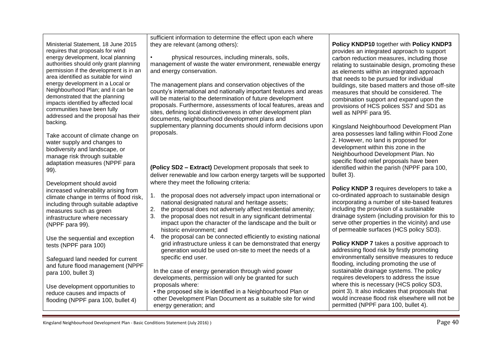|                                                                                                                                                                                                                                                                                                                                                                                                                                                                     | sufficient information to determine the effect upon each where                                                                                                                                                                                                                                                                                                                                                                                                                                                                                                                       |                                                                                                                                                                                                                                                                                                                                                                                                                                                                                                |
|---------------------------------------------------------------------------------------------------------------------------------------------------------------------------------------------------------------------------------------------------------------------------------------------------------------------------------------------------------------------------------------------------------------------------------------------------------------------|--------------------------------------------------------------------------------------------------------------------------------------------------------------------------------------------------------------------------------------------------------------------------------------------------------------------------------------------------------------------------------------------------------------------------------------------------------------------------------------------------------------------------------------------------------------------------------------|------------------------------------------------------------------------------------------------------------------------------------------------------------------------------------------------------------------------------------------------------------------------------------------------------------------------------------------------------------------------------------------------------------------------------------------------------------------------------------------------|
| Ministerial Statement, 18 June 2015<br>requires that proposals for wind<br>energy development, local planning<br>authorities should only grant planning<br>permission if the development is in an<br>area identified as suitable for wind<br>energy development in a Local or<br>Neighbourhood Plan; and it can be<br>demonstrated that the planning<br>impacts identified by affected local<br>communities have been fully<br>addressed and the proposal has their | they are relevant (among others):<br>physical resources, including minerals, soils,<br>$\bullet$<br>management of waste the water environment, renewable energy<br>and energy conservation.<br>The management plans and conservation objectives of the<br>county's international and nationally important features and areas<br>will be material to the determination of future development<br>proposals. Furthermore, assessments of local features, areas and<br>sites, defining local distinctiveness in other development plan<br>documents, neighbourhood development plans and | Policy KNDP10 together with Policy KNDP3<br>provides an integrated approach to support<br>carbon reduction measures, including those<br>relating to sustainable design, promoting these<br>as elements within an integrated approach<br>that needs to be pursued for individual<br>buildings, site based matters and those off-site<br>measures that should be considered. The<br>combination support and expand upon the<br>provisions of HCS polices SS7 and SD1 as<br>well as NPPF para 95. |
| backing.                                                                                                                                                                                                                                                                                                                                                                                                                                                            | supplementary planning documents should inform decisions upon                                                                                                                                                                                                                                                                                                                                                                                                                                                                                                                        | Kingsland Neighbourhood Development Plan                                                                                                                                                                                                                                                                                                                                                                                                                                                       |
| Take account of climate change on<br>water supply and changes to<br>biodiversity and landscape, or<br>manage risk through suitable<br>adaptation measures (NPPF para                                                                                                                                                                                                                                                                                                | proposals.                                                                                                                                                                                                                                                                                                                                                                                                                                                                                                                                                                           | area possesses land falling within Flood Zone<br>2. However, no land is proposed for<br>development within this zone in the<br>Neighbourhood Development Plan. No<br>specific flood relief proposals have been                                                                                                                                                                                                                                                                                 |
| 99).                                                                                                                                                                                                                                                                                                                                                                                                                                                                | (Policy SD2 - Extract) Development proposals that seek to<br>deliver renewable and low carbon energy targets will be supported                                                                                                                                                                                                                                                                                                                                                                                                                                                       | identified within the parish (NPPF para 100,<br>bullet 3).                                                                                                                                                                                                                                                                                                                                                                                                                                     |
| Development should avoid<br>increased vulnerability arising from<br>climate change in terms of flood risk,<br>including through suitable adaptive<br>measures such as green<br>infrastructure where necessary                                                                                                                                                                                                                                                       | where they meet the following criteria:<br>the proposal does not adversely impact upon international or<br>1.<br>national designated natural and heritage assets;<br>the proposal does not adversely affect residential amenity;<br>2.<br>3.<br>the proposal does not result in any significant detrimental                                                                                                                                                                                                                                                                          | Policy KNDP 3 requires developers to take a<br>co-ordinated approach to sustainable design<br>incorporating a number of site-based features<br>including the provision of a sustainable<br>drainage system (including provision for this to                                                                                                                                                                                                                                                    |
| (NPPF para 99).                                                                                                                                                                                                                                                                                                                                                                                                                                                     | impact upon the character of the landscape and the built or<br>historic environment; and                                                                                                                                                                                                                                                                                                                                                                                                                                                                                             | serve other properties in the vicinity) and use<br>of permeable surfaces (HCS policy SD3).                                                                                                                                                                                                                                                                                                                                                                                                     |
| Use the sequential and exception<br>tests (NPPF para 100)                                                                                                                                                                                                                                                                                                                                                                                                           | the proposal can be connected efficiently to existing national<br>4.<br>grid infrastructure unless it can be demonstrated that energy<br>generation would be used on-site to meet the needs of a                                                                                                                                                                                                                                                                                                                                                                                     | Policy KNDP 7 takes a positive approach to<br>addressing flood risk by firstly promoting                                                                                                                                                                                                                                                                                                                                                                                                       |
| Safeguard land needed for current<br>and future flood management (NPPF                                                                                                                                                                                                                                                                                                                                                                                              | specific end user.<br>In the case of energy generation through wind power                                                                                                                                                                                                                                                                                                                                                                                                                                                                                                            | environmentally sensitive measures to reduce<br>flooding, including promoting the use of<br>sustainable drainage systems. The policy                                                                                                                                                                                                                                                                                                                                                           |
| para 100, bullet 3)<br>Use development opportunities to                                                                                                                                                                                                                                                                                                                                                                                                             | developments, permission will only be granted for such<br>proposals where:                                                                                                                                                                                                                                                                                                                                                                                                                                                                                                           | requires developers to address the issue<br>where this is necessary (HCS policy SD3,                                                                                                                                                                                                                                                                                                                                                                                                           |
| reduce causes and impacts of<br>flooding (NPPF para 100, bullet 4)                                                                                                                                                                                                                                                                                                                                                                                                  | • the proposed site is identified in a Neighbourhood Plan or<br>other Development Plan Document as a suitable site for wind<br>energy generation; and                                                                                                                                                                                                                                                                                                                                                                                                                                | point 3). It also indicates that proposals that<br>would increase flood risk elsewhere will not be<br>permitted (NPPF para 100, bullet 4).                                                                                                                                                                                                                                                                                                                                                     |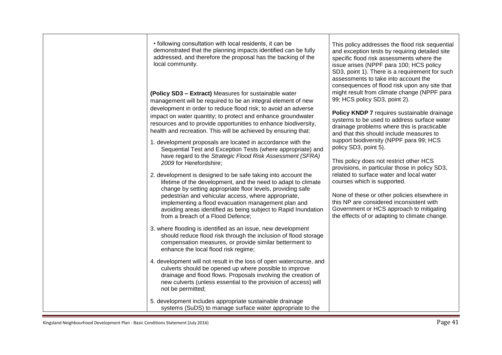| • following consultation with local residents, it can be<br>demonstrated that the planning impacts identified can be fully<br>addressed, and therefore the proposal has the backing of the<br>local community.                                                                         | This policy addresses the flood risk sequential<br>and exception tests by requiring detailed site<br>specific flood risk assessments where the<br>issue arises (NPPF para 100; HCS policy<br>SD3, point 1). There is a requirement for such<br>assessments to take into account the<br>consequences of flood risk upon any site that |
|----------------------------------------------------------------------------------------------------------------------------------------------------------------------------------------------------------------------------------------------------------------------------------------|--------------------------------------------------------------------------------------------------------------------------------------------------------------------------------------------------------------------------------------------------------------------------------------------------------------------------------------|
| (Policy SD3 - Extract) Measures for sustainable water<br>management will be required to be an integral element of new<br>development in order to reduce flood risk; to avoid an adverse<br>impact on water quantity; to protect and enhance groundwater                                | might result from climate change (NPPF para<br>99; HCS policy SD3, point 2).<br>Policy KNDP 7 requires sustainable drainage                                                                                                                                                                                                          |
| resources and to provide opportunities to enhance biodiversity,<br>health and recreation. This will be achieved by ensuring that:<br>1. development proposals are located in accordance with the                                                                                       | systems to be used to address surface water<br>drainage problems where this is practicable<br>and that this should include measures to<br>support biodiversity (NPPF para 99; HCS                                                                                                                                                    |
| Sequential Test and Exception Tests (where appropriate) and<br>have regard to the Strategic Flood Risk Assessment (SFRA)<br>2009 for Herefordshire;                                                                                                                                    | policy SD3, point 5).<br>This policy does not restrict other HCS<br>provisions, in particular those in policy SD3,                                                                                                                                                                                                                   |
| 2. development is designed to be safe taking into account the<br>lifetime of the development, and the need to adapt to climate<br>change by setting appropriate floor levels, providing safe<br>pedestrian and vehicular access, where appropriate,                                    | related to surface water and local water<br>courses which is supported.<br>None of these or other policies elsewhere in                                                                                                                                                                                                              |
| implementing a flood evacuation management plan and<br>avoiding areas identified as being subject to Rapid Inundation<br>from a breach of a Flood Defence;                                                                                                                             | this NP are considered inconsistent with<br>Government or HCS approach to mitigating<br>the effects of or adapting to climate change.                                                                                                                                                                                                |
| 3. where flooding is identified as an issue, new development<br>should reduce flood risk through the inclusion of flood storage<br>compensation measures, or provide similar betterment to<br>enhance the local flood risk regime;                                                     |                                                                                                                                                                                                                                                                                                                                      |
| 4. development will not result in the loss of open watercourse, and<br>culverts should be opened up where possible to improve<br>drainage and flood flows. Proposals involving the creation of<br>new culverts (unless essential to the provision of access) will<br>not be permitted; |                                                                                                                                                                                                                                                                                                                                      |
| 5. development includes appropriate sustainable drainage<br>systems (SuDS) to manage surface water appropriate to the                                                                                                                                                                  |                                                                                                                                                                                                                                                                                                                                      |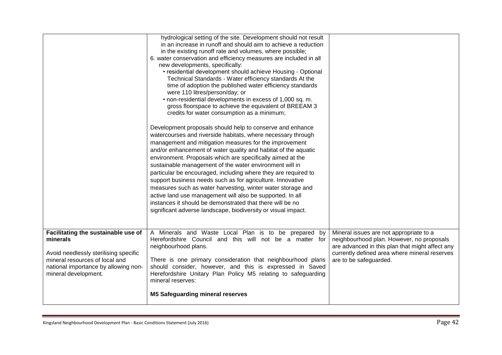| credits for water consumption as a minimum;<br>Development proposals should help to conserve and enhance<br>watercourses and riverside habitats, where necessary through<br>management and mitigation measures for the improvement<br>and/or enhancement of water quality and habitat of the aquatic<br>environment. Proposals which are specifically aimed at the<br>sustainable management of the water environment will in<br>particular be encouraged, including where they are required to<br>support business needs such as for agriculture. Innovative<br>measures such as water harvesting, winter water storage and<br>active land use management will also be supported. In all<br>instances it should be demonstrated that there will be no |                                                                                                                                                                                                                    |
|--------------------------------------------------------------------------------------------------------------------------------------------------------------------------------------------------------------------------------------------------------------------------------------------------------------------------------------------------------------------------------------------------------------------------------------------------------------------------------------------------------------------------------------------------------------------------------------------------------------------------------------------------------------------------------------------------------------------------------------------------------|--------------------------------------------------------------------------------------------------------------------------------------------------------------------------------------------------------------------|
|                                                                                                                                                                                                                                                                                                                                                                                                                                                                                                                                                                                                                                                                                                                                                        |                                                                                                                                                                                                                    |
| A Minerals and Waste Local Plan is to be prepared by<br>Herefordshire Council and this will not be a matter for<br>neighbourhood plans.<br>There is one primary consideration that neighbourhood plans<br>should consider, however, and this is expressed in Saved<br>Herefordshire Unitary Plan Policy M5 relating to safeguarding<br>mineral reserves:<br><b>M5 Safeguarding mineral reserves</b>                                                                                                                                                                                                                                                                                                                                                    | Mineral issues are not appropriate to a<br>neighbourhood plan. However, no proposals<br>are advanced in this plan that might affect any<br>currently defined area where mineral reserves<br>are to be safeguarded. |
|                                                                                                                                                                                                                                                                                                                                                                                                                                                                                                                                                                                                                                                                                                                                                        | significant adverse landscape, biodiversity or visual impact.                                                                                                                                                      |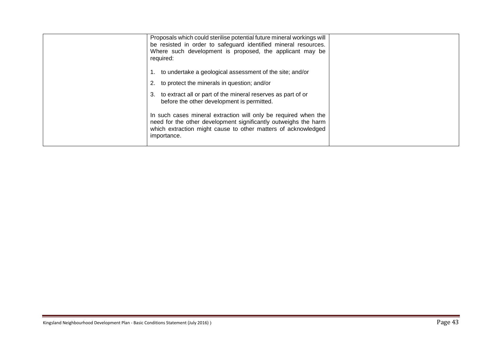| Proposals which could sterilise potential future mineral workings will<br>be resisted in order to safeguard identified mineral resources.<br>Where such development is proposed, the applicant may be<br>required:                                                                                                                                                                                                                                      |  |
|---------------------------------------------------------------------------------------------------------------------------------------------------------------------------------------------------------------------------------------------------------------------------------------------------------------------------------------------------------------------------------------------------------------------------------------------------------|--|
| 1. to undertake a geological assessment of the site; and/or<br>2. to protect the minerals in question; and/or<br>to extract all or part of the mineral reserves as part of or<br>3.<br>before the other development is permitted.<br>In such cases mineral extraction will only be required when the<br>need for the other development significantly outweighs the harm<br>which extraction might cause to other matters of acknowledged<br>importance. |  |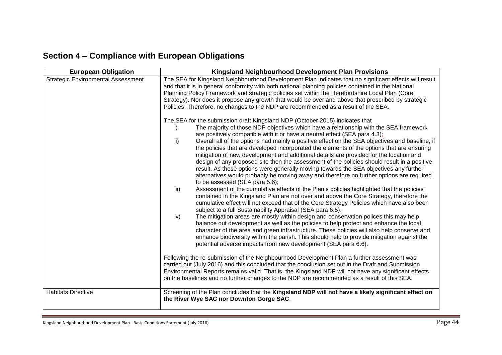### **Section 4 – Compliance with European Obligations**

| <b>European Obligation</b>                | Kingsland Neighbourhood Development Plan Provisions                                                                                                                                                                                                                                                                                                                                                                                                                                                                                                                                                                                                                                                                                                                                                                                                                                                                                                                                                                                                                                                                                                                                                                                                                                                                                                                                                                                                                                                                                                                                                               |
|-------------------------------------------|-------------------------------------------------------------------------------------------------------------------------------------------------------------------------------------------------------------------------------------------------------------------------------------------------------------------------------------------------------------------------------------------------------------------------------------------------------------------------------------------------------------------------------------------------------------------------------------------------------------------------------------------------------------------------------------------------------------------------------------------------------------------------------------------------------------------------------------------------------------------------------------------------------------------------------------------------------------------------------------------------------------------------------------------------------------------------------------------------------------------------------------------------------------------------------------------------------------------------------------------------------------------------------------------------------------------------------------------------------------------------------------------------------------------------------------------------------------------------------------------------------------------------------------------------------------------------------------------------------------------|
| <b>Strategic Environmental Assessment</b> | The SEA for Kingsland Neighbourhood Development Plan indicates that no significant effects will result<br>and that it is in general conformity with both national planning policies contained in the National<br>Planning Policy Framework and strategic policies set within the Herefordshire Local Plan (Core<br>Strategy). Nor does it propose any growth that would be over and above that prescribed by strategic<br>Policies. Therefore, no changes to the NDP are recommended as a result of the SEA.                                                                                                                                                                                                                                                                                                                                                                                                                                                                                                                                                                                                                                                                                                                                                                                                                                                                                                                                                                                                                                                                                                      |
|                                           | The SEA for the submission draft Kingsland NDP (October 2015) indicates that                                                                                                                                                                                                                                                                                                                                                                                                                                                                                                                                                                                                                                                                                                                                                                                                                                                                                                                                                                                                                                                                                                                                                                                                                                                                                                                                                                                                                                                                                                                                      |
|                                           | The majority of those NDP objectives which have a relationship with the SEA framework<br>i)<br>are positively compatible with it or have a neutral effect (SEA para 4.3);<br>Overall all of the options had mainly a positive effect on the SEA objectives and baseline, if<br>ii)<br>the policies that are developed incorporated the elements of the options that are ensuring<br>mitigation of new development and additional details are provided for the location and<br>design of any proposed site then the assessment of the policies should result in a positive<br>result. As these options were generally moving towards the SEA objectives any further<br>alternatives would probably be moving away and therefore no further options are required<br>to be assessed (SEA para 5.6);<br>iii)<br>Assessment of the cumulative effects of the Plan's policies highlighted that the policies<br>contained in the Kingsland Plan are not over and above the Core Strategy, therefore the<br>cumulative effect will not exceed that of the Core Strategy Policies which have also been<br>subject to a full Sustainability Appraisal (SEA para 6.5),<br>The mitigation areas are mostly within design and conservation polices this may help<br>iv)<br>balance out development as well as the policies to help protect and enhance the local<br>character of the area and green infrastructure. These policies will also help conserve and<br>enhance biodiversity within the parish. This should help to provide mitigation against the<br>potential adverse impacts from new development (SEA para 6.6). |
|                                           | Following the re-submission of the Neighbourhood Development Plan a further assessment was<br>carried out (July 2016) and this concluded that the conclusion set out in the Draft and Submission<br>Environmental Reports remains valid. That is, the Kingsland NDP will not have any significant effects<br>on the baselines and no further changes to the NDP are recommended as a result of this SEA.                                                                                                                                                                                                                                                                                                                                                                                                                                                                                                                                                                                                                                                                                                                                                                                                                                                                                                                                                                                                                                                                                                                                                                                                          |
| <b>Habitats Directive</b>                 | Screening of the Plan concludes that the Kingsland NDP will not have a likely significant effect on<br>the River Wye SAC nor Downton Gorge SAC.                                                                                                                                                                                                                                                                                                                                                                                                                                                                                                                                                                                                                                                                                                                                                                                                                                                                                                                                                                                                                                                                                                                                                                                                                                                                                                                                                                                                                                                                   |